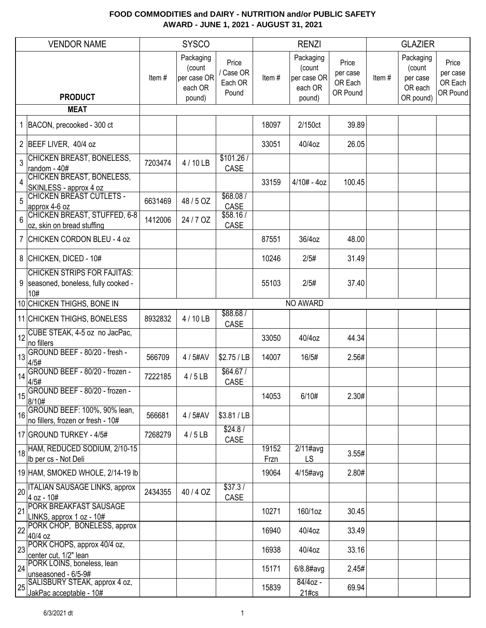|    | <b>VENDOR NAME</b>                                                                  |         | <b>SYSCO</b>                                            |                                      |               | <b>RENZI</b>                                            |                                          |       | <b>GLAZIER</b>                                          |                                          |
|----|-------------------------------------------------------------------------------------|---------|---------------------------------------------------------|--------------------------------------|---------------|---------------------------------------------------------|------------------------------------------|-------|---------------------------------------------------------|------------------------------------------|
|    | <b>PRODUCT</b>                                                                      | Item#   | Packaging<br>(count<br>per case OR<br>each OR<br>pound) | Price<br>Case OR<br>Each OR<br>Pound | Item#         | Packaging<br>(count<br>per case OR<br>each OR<br>pound) | Price<br>per case<br>OR Each<br>OR Pound | Item# | Packaging<br>(count<br>per case<br>OR each<br>OR pound) | Price<br>per case<br>OR Each<br>OR Pound |
|    | <b>MEAT</b>                                                                         |         |                                                         |                                      |               |                                                         |                                          |       |                                                         |                                          |
|    | 1 BACON, precooked - 300 ct                                                         |         |                                                         |                                      | 18097         | 2/150ct                                                 | 39.89                                    |       |                                                         |                                          |
|    | 2 BEEF LIVER, 40/4 oz                                                               |         |                                                         |                                      | 33051         | 40/4oz                                                  | 26.05                                    |       |                                                         |                                          |
| 3  | <b>CHICKEN BREAST, BONELESS,</b><br>random - 40#                                    | 7203474 | 4 / 10 LB                                               | \$101.26/<br>CASE                    |               |                                                         |                                          |       |                                                         |                                          |
| 4  | <b>CHICKEN BREAST, BONELESS,</b><br>SKINLESS - approx 4 oz                          |         |                                                         |                                      | 33159         | $4/10# - 4oz$                                           | 100.45                                   |       |                                                         |                                          |
| 5  | <b>CHICKEN BREAST CUTLETS -</b><br>approx 4-6 oz                                    | 6631469 | 48 / 5 OZ                                               | \$68.08/<br>CASE                     |               |                                                         |                                          |       |                                                         |                                          |
| 6  | <b>CHICKEN BREAST, STUFFED, 6-8</b><br>oz, skin on bread stuffing                   | 1412006 | 24 / 7 OZ                                               | \$58.16/<br>CASE                     |               |                                                         |                                          |       |                                                         |                                          |
|    | 7 CHICKEN CORDON BLEU - 4 oz                                                        |         |                                                         |                                      | 87551         | 36/4oz                                                  | 48.00                                    |       |                                                         |                                          |
|    | 8 CHICKEN, DICED - 10#                                                              |         |                                                         |                                      | 10246         | 2/5#                                                    | 31.49                                    |       |                                                         |                                          |
|    | <b>CHICKEN STRIPS FOR FAJITAS:</b><br>9   seasoned, boneless, fully cooked -<br>10# |         |                                                         |                                      | 55103         | 2/5#                                                    | 37.40                                    |       |                                                         |                                          |
|    | 10 CHICKEN THIGHS, BONE IN                                                          |         |                                                         |                                      |               | NO AWARD                                                |                                          |       |                                                         |                                          |
|    | 11 CHICKEN THIGHS, BONELESS                                                         | 8932832 | 4 / 10 LB                                               | \$88.68/<br>CASE                     |               |                                                         |                                          |       |                                                         |                                          |
|    | $\left  \frac{1}{2} \right $ CUBE STEAK, 4-5 oz no JacPac,<br>no fillers            |         |                                                         |                                      | 33050         | 40/4oz                                                  | 44.34                                    |       |                                                         |                                          |
| 13 | GROUND BEEF - 80/20 - fresh -<br>4/5#                                               | 566709  | 4 / 5#AV                                                | \$2.75 / LB                          | 14007         | 16/5#                                                   | 2.56#                                    |       |                                                         |                                          |
| 14 | GROUND BEEF - 80/20 - frozen -<br>4/5#                                              | 7222185 | 4/5LB                                                   | \$64.67/<br>CASE                     |               |                                                         |                                          |       |                                                         |                                          |
| 15 | GROUND BEEF - 80/20 - frozen -<br>8/10#                                             |         |                                                         |                                      | 14053         | 6/10#                                                   | 2.30#                                    |       |                                                         |                                          |
| 16 | GROUND BEEF: 100%, 90% lean,<br>no fillers, frozen or fresh - 10#                   | 566681  | 4 / 5#AV                                                | \$3.81 / LB                          |               |                                                         |                                          |       |                                                         |                                          |
|    | 17 GROUND TURKEY - 4/5#                                                             | 7268279 | 4/5LB                                                   | \$24.8/<br>CASE                      |               |                                                         |                                          |       |                                                         |                                          |
|    | $\frac{1}{18}$ HAM, REDUCED SODIUM, 2/10-15<br>Ib per cs - Not Deli                 |         |                                                         |                                      | 19152<br>Frzn | $2/11$ #avg<br>LS                                       | 3.55#                                    |       |                                                         |                                          |
|    | 19 HAM, SMOKED WHOLE, 2/14-19 lb                                                    |         |                                                         |                                      | 19064         | $4/15$ #avg                                             | 2.80#                                    |       |                                                         |                                          |
| 20 | <b>ITALIAN SAUSAGE LINKS, approx</b><br>4 oz - 10#                                  | 2434355 | 40/4 OZ                                                 | \$37.3/<br>CASE                      |               |                                                         |                                          |       |                                                         |                                          |
| 21 | PORK BREAKFAST SAUSAGE<br>LINKS, approx 1 oz - 10#                                  |         |                                                         |                                      | 10271         | 160/1oz                                                 | 30.45                                    |       |                                                         |                                          |
| 22 | PORK CHOP, BONELESS, approx<br>40/4 oz                                              |         |                                                         |                                      | 16940         | 40/4oz                                                  | 33.49                                    |       |                                                         |                                          |
|    | 23 PORK CHOPS, approx 40/4 oz,<br>center cut, 1/2" lean                             |         |                                                         |                                      | 16938         | 40/4oz                                                  | 33.16                                    |       |                                                         |                                          |
| 24 | PORK LOINS, boneless, lean<br>unseasoned - 6/5-9#                                   |         |                                                         |                                      | 15171         | 6/8.8#avg                                               | 2.45#                                    |       |                                                         |                                          |
| 25 | SALISBURY STEAK, approx 4 oz,<br>JakPac acceptable - 10#                            |         |                                                         |                                      | 15839         | 84/4oz -<br>$21\#cs$                                    | 69.94                                    |       |                                                         |                                          |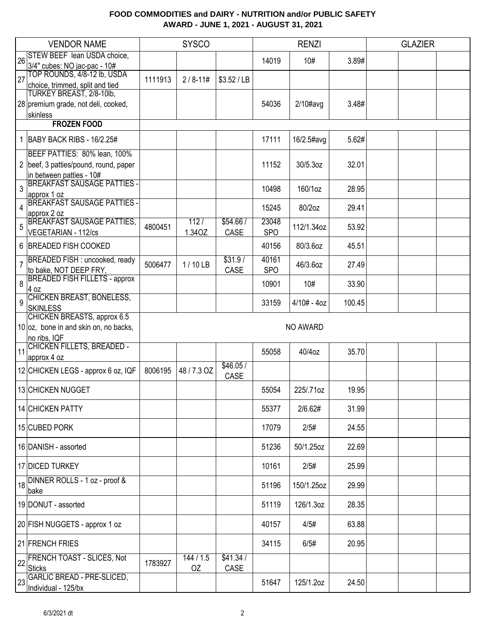|    | <b>VENDOR NAME</b>                                          |         | <b>SYSCO</b> |                  | <b>RENZI</b> |               |        | <b>GLAZIER</b> |  |
|----|-------------------------------------------------------------|---------|--------------|------------------|--------------|---------------|--------|----------------|--|
| 26 | STEW BEEF lean USDA choice,                                 |         |              |                  | 14019        | 10#           | 3.89#  |                |  |
|    | 3/4" cubes: NO jac-pac - 10#                                |         |              |                  |              |               |        |                |  |
| 27 | TOP ROUNDS, 4/8-12 lb, USDA                                 | 1111913 | $2/8 - 11#$  | \$3.52 / LB      |              |               |        |                |  |
|    | choice, trimmed, split and tied<br>TURKEY BREAST, 2/8-10lb, |         |              |                  |              |               |        |                |  |
|    | 28 premium grade, not deli, cooked,                         |         |              |                  | 54036        | $2/10\#avg$   | 3.48#  |                |  |
|    | skinless                                                    |         |              |                  |              |               |        |                |  |
|    | <b>FROZEN FOOD</b>                                          |         |              |                  |              |               |        |                |  |
|    |                                                             |         |              |                  |              |               |        |                |  |
|    | 1 BABY BACK RIBS - 16/2.25#                                 |         |              |                  | 17111        | 16/2.5#avg    | 5.62#  |                |  |
|    | BEEF PATTIES: 80% lean, 100%                                |         |              |                  |              |               |        |                |  |
|    | 2 beef, 3 patties/pound, round, paper                       |         |              |                  | 11152        | 30/5.3oz      | 32.01  |                |  |
|    | in between patties - 10#                                    |         |              |                  |              |               |        |                |  |
| 3  | <b>BREAKFAST SAUSAGE PATTIES -</b>                          |         |              |                  | 10498        | 160/1oz       | 28.95  |                |  |
|    | approx 1 oz<br><b>BREAKFAST SAUSAGE PATTIES -</b>           |         |              |                  |              |               |        |                |  |
| 4  | approx 2 oz                                                 |         |              |                  | 15245        | 80/2oz        | 29.41  |                |  |
| 5  | <b>BREAKFAST SAUSAGE PATTIES,</b>                           | 4800451 | 112/         | \$54.66/         | 23048        | 112/1.34oz    | 53.92  |                |  |
|    | <b>VEGETARIAN - 112/cs</b>                                  |         | 1.34OZ       | CASE             | <b>SPO</b>   |               |        |                |  |
|    | 6 BREADED FISH COOKED                                       |         |              |                  | 40156        | 80/3.6oz      | 45.51  |                |  |
|    | <b>BREADED FISH: uncooked, ready</b>                        |         |              | \$31.9/          | 40161        |               |        |                |  |
| 7  | to bake, NOT DEEP FRY,                                      | 5006477 | $1/10$ LB    | CASE             | <b>SPO</b>   | 46/3.6oz      | 27.49  |                |  |
| 8  | <b>BREADED FISH FILLETS - approx</b><br>4 oz                |         |              |                  | 10901        | 10#           | 33.90  |                |  |
|    | CHICKEN BREAST, BONELESS,                                   |         |              |                  |              |               |        |                |  |
| 9  | <b>SKINLESS</b>                                             |         |              |                  | 33159        | $4/10# - 4oz$ | 100.45 |                |  |
|    | CHICKEN BREASTS, approx 6.5                                 |         |              |                  |              |               |        |                |  |
|    | $10 oz$ , bone in and skin on, no backs,                    |         |              |                  |              | NO AWARD      |        |                |  |
|    | no ribs, IQF                                                |         |              |                  |              |               |        |                |  |
| 11 | CHICKEN FILLETS, BREADED -                                  |         |              |                  | 55058        | 40/4oz        | 35.70  |                |  |
|    | approx 4 oz                                                 |         |              |                  |              |               |        |                |  |
|    | 12 CHICKEN LEGS - approx 6 oz, IQF                          | 8006195 | 48 / 7.3 OZ  | \$46.05/<br>CASE |              |               |        |                |  |
|    | 13 CHICKEN NUGGET                                           |         |              |                  | 55054        | 225/.71oz     | 19.95  |                |  |
|    |                                                             |         |              |                  |              |               |        |                |  |
|    | 14 CHICKEN PATTY                                            |         |              |                  | 55377        | 2/6.62#       | 31.99  |                |  |
|    | 15 CUBED PORK                                               |         |              |                  | 17079        | 2/5#          | 24.55  |                |  |
|    |                                                             |         |              |                  |              |               |        |                |  |
|    | 16 DANISH - assorted                                        |         |              |                  | 51236        | 50/1.25oz     | 22.69  |                |  |
|    | 17 DICED TURKEY                                             |         |              |                  | 10161        | 2/5#          | 25.99  |                |  |
|    | DINNER ROLLS - 1 oz - proof &                               |         |              |                  |              |               |        |                |  |
| 18 | bake                                                        |         |              |                  | 51196        | 150/1.25oz    | 29.99  |                |  |
|    | 19 DONUT - assorted                                         |         |              |                  | 51119        | 126/1.3oz     | 28.35  |                |  |
|    | 20 FISH NUGGETS - approx 1 oz                               |         |              |                  | 40157        | 4/5#          | 63.88  |                |  |
|    | 21 FRENCH FRIES                                             |         |              |                  | 34115        |               | 20.95  |                |  |
|    | FRENCH TOAST - SLICES, Not                                  |         | 144/1.5      | \$41.34/         |              | 6/5#          |        |                |  |
| 22 | <b>Sticks</b>                                               | 1783927 | OZ           | CASE             |              |               |        |                |  |
|    | <b>GARLIC BREAD - PRE-SLICED,</b>                           |         |              |                  |              |               |        |                |  |
| 23 | Individual - 125/bx                                         |         |              |                  | 51647        | 125/1.2oz     | 24.50  |                |  |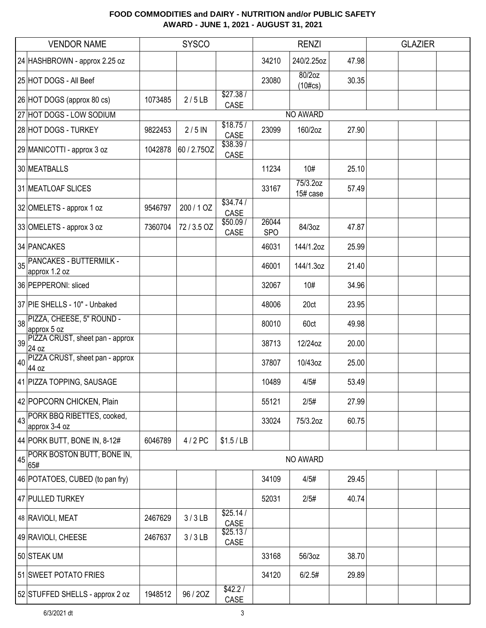|    | <b>VENDOR NAME</b>                              | <b>SYSCO</b> |             |                        | <b>RENZI</b>        |                         |       | <b>GLAZIER</b> |  |
|----|-------------------------------------------------|--------------|-------------|------------------------|---------------------|-------------------------|-------|----------------|--|
|    | 24 HASHBROWN - approx 2.25 oz                   |              |             |                        | 34210               | 240/2.25oz              | 47.98 |                |  |
|    | 25 HOT DOGS - All Beef                          |              |             |                        | 23080               | $80/2$ oz<br>$(10\#cs)$ | 30.35 |                |  |
|    | 26 HOT DOGS (approx 80 cs)                      | 1073485      | 2/5LB       | \$27.38/<br>CASE       |                     |                         |       |                |  |
|    | 27 HOT DOGS - LOW SODIUM                        |              |             |                        |                     | NO AWARD                |       |                |  |
|    | 28 HOT DOGS - TURKEY                            | 9822453      | $2/5$ IN    | \$18.75/<br>CASE       | 23099               | 160/2oz                 | 27.90 |                |  |
|    | 29 MANICOTTI - approx 3 oz                      | 1042878      | 60 / 2.75OZ | \$38.39/<br>CASE       |                     |                         |       |                |  |
|    | 30 MEATBALLS                                    |              |             |                        | 11234               | 10#                     | 25.10 |                |  |
|    | 31 MEATLOAF SLICES                              |              |             |                        | 33167               | 75/3.2oz<br>15# case    | 57.49 |                |  |
|    | 32 OMELETS - approx 1 oz                        | 9546797      | 200 / 1 OZ  | \$34.74/<br>CASE       |                     |                         |       |                |  |
|    | 33 OMELETS - approx 3 oz                        | 7360704      | 72/3.5 OZ   | \$50.09/<br>CASE       | 26044<br><b>SPO</b> | 84/3oz                  | 47.87 |                |  |
|    | 34 PANCAKES                                     |              |             |                        | 46031               | 144/1.2oz               | 25.99 |                |  |
| 35 | <b>PANCAKES - BUTTERMILK -</b><br>approx 1.2 oz |              |             |                        | 46001               | 144/1.3oz               | 21.40 |                |  |
|    | 36 PEPPERONI: sliced                            |              |             |                        | 32067               | 10#                     | 34.96 |                |  |
|    | 37 PIE SHELLS - 10" - Unbaked                   |              |             |                        | 48006               | 20ct                    | 23.95 |                |  |
| 38 | PIZZA, CHEESE, 5" ROUND -<br>approx 5 oz        |              |             |                        | 80010               | 60ct                    | 49.98 |                |  |
| 39 | PIZZA CRUST, sheet pan - approx<br>24 oz        |              |             |                        | 38713               | 12/24oz                 | 20.00 |                |  |
| 40 | PIZZA CRUST, sheet pan - approx<br>44 oz        |              |             |                        | 37807               | 10/43oz                 | 25.00 |                |  |
|    | 41 PIZZA TOPPING, SAUSAGE                       |              |             |                        | 10489               | 4/5#                    | 53.49 |                |  |
|    | 42 POPCORN CHICKEN, Plain                       |              |             |                        | 55121               | 2/5#                    | 27.99 |                |  |
| 43 | PORK BBQ RIBETTES, cooked,<br>approx 3-4 oz     |              |             |                        | 33024               | 75/3.2oz                | 60.75 |                |  |
|    | 44 PORK BUTT, BONE IN, 8-12#                    | 6046789      | 4/2 PC      | \$1.5/LB               |                     |                         |       |                |  |
|    | <b>PORK BOSTON BUTT, BONE IN,</b><br>65#        |              |             |                        |                     | NO AWARD                |       |                |  |
|    | 46 POTATOES, CUBED (to pan fry)                 |              |             |                        | 34109               | 4/5#                    | 29.45 |                |  |
|    | 47 PULLED TURKEY                                |              |             |                        | 52031               | 2/5#                    | 40.74 |                |  |
|    | 48 RAVIOLI, MEAT                                | 2467629      | 3/3LB       | \$25.14/<br>CASE       |                     |                         |       |                |  |
|    | 49 RAVIOLI, CHEESE                              | 2467637      | 3/3LB       | \$25.13/<br>CASE       |                     |                         |       |                |  |
|    | 50 STEAK UM                                     |              |             |                        | 33168               | 56/3oz                  | 38.70 |                |  |
|    | 51 SWEET POTATO FRIES                           |              |             |                        | 34120               | 6/2.5#                  | 29.89 |                |  |
|    | 52 STUFFED SHELLS - approx 2 oz                 | 1948512      | 96 / 20Z    | \$42.2/<br><b>CASE</b> |                     |                         |       |                |  |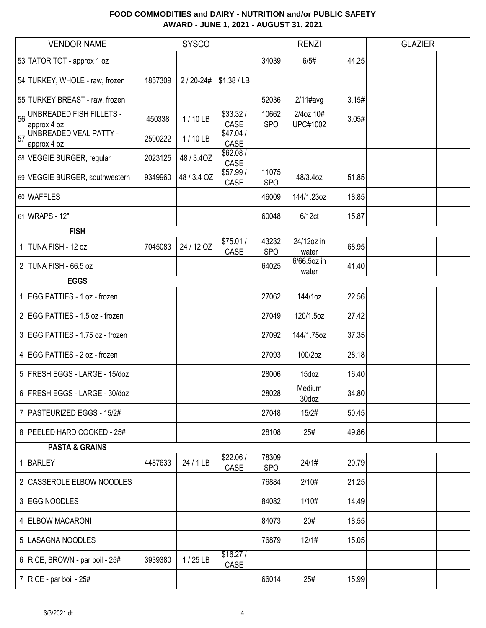|    | <b>VENDOR NAME</b>                             |         | <b>SYSCO</b> |                  |                     | <b>RENZI</b>                 |       | <b>GLAZIER</b> |
|----|------------------------------------------------|---------|--------------|------------------|---------------------|------------------------------|-------|----------------|
|    | 53 TATOR TOT - approx 1 oz                     |         |              |                  | 34039               | 6/5#                         | 44.25 |                |
|    | 54 TURKEY, WHOLE - raw, frozen                 | 1857309 | 2/20-24#     | \$1.38 / LB      |                     |                              |       |                |
|    | 55 TURKEY BREAST - raw, frozen                 |         |              |                  | 52036               | $2/11$ #avg                  | 3.15# |                |
| 56 | <b>UNBREADED FISH FILLETS -</b><br>approx 4 oz | 450338  | 1/10LB       | \$33.32/<br>CASE | 10662<br><b>SPO</b> | 2/4oz 10#<br><b>UPC#1002</b> | 3.05# |                |
| 57 | UNBREADED VEAL PATTY -<br>approx 4 oz          | 2590222 | $1/10$ LB    | \$47.04/<br>CASE |                     |                              |       |                |
|    | 58 VEGGIE BURGER, regular                      | 2023125 | 48 / 3.40Z   | \$62.08/<br>CASE |                     |                              |       |                |
|    | 59 VEGGIE BURGER, southwestern                 | 9349960 | 48 / 3.4 OZ  | \$57.99/<br>CASE | 11075<br><b>SPO</b> | 48/3.4oz                     | 51.85 |                |
|    | 60 WAFFLES                                     |         |              |                  | 46009               | 144/1.23oz                   | 18.85 |                |
|    | 61 WRAPS - 12"                                 |         |              |                  | 60048               | 6/12ct                       | 15.87 |                |
|    | <b>FISH</b>                                    |         |              |                  |                     |                              |       |                |
|    | 1 TUNA FISH - 12 oz                            | 7045083 | 24 / 12 OZ   | \$75.01/<br>CASE | 43232<br><b>SPO</b> | 24/12oz in<br>water          | 68.95 |                |
|    | 2 TUNA FISH - 66.5 oz                          |         |              |                  | 64025               | 6/66.5oz in<br>water         | 41.40 |                |
|    | <b>EGGS</b>                                    |         |              |                  |                     |                              |       |                |
|    | 1 EGG PATTIES - 1 oz - frozen                  |         |              |                  | 27062               | 144/1oz                      | 22.56 |                |
|    | 2 EGG PATTIES - 1.5 oz - frozen                |         |              |                  | 27049               | 120/1.5oz                    | 27.42 |                |
|    | 3 EGG PATTIES - 1.75 oz - frozen               |         |              |                  | 27092               | 144/1.75oz                   | 37.35 |                |
|    | 4 EGG PATTIES - 2 oz - frozen                  |         |              |                  | 27093               | 100/2oz                      | 28.18 |                |
|    | 5 FRESH EGGS - LARGE - 15/doz                  |         |              |                  | 28006               | 15doz                        | 16.40 |                |
|    | 6 FRESH EGGS - LARGE - 30/doz                  |         |              |                  | 28028               | Medium<br>30doz              | 34.80 |                |
|    | 7   PASTEURIZED EGGS - 15/2#                   |         |              |                  | 27048               | 15/2#                        | 50.45 |                |
|    | 8 PEELED HARD COOKED - 25#                     |         |              |                  | 28108               | 25#                          | 49.86 |                |
|    | <b>PASTA &amp; GRAINS</b>                      |         |              |                  |                     |                              |       |                |
|    | 1 BARLEY                                       | 4487633 | 24 / 1 LB    | \$22.06/<br>CASE | 78309<br><b>SPO</b> | 24/1#                        | 20.79 |                |
|    | 2 CASSEROLE ELBOW NOODLES                      |         |              |                  | 76884               | 2/10#                        | 21.25 |                |
|    | 3 EGG NOODLES                                  |         |              |                  | 84082               | 1/10#                        | 14.49 |                |
|    | 4 ELBOW MACARONI                               |         |              |                  | 84073               | 20#                          | 18.55 |                |
|    | 5  LASAGNA NOODLES                             |         |              |                  | 76879               | 12/1#                        | 15.05 |                |
|    | 6   RICE, BROWN - par boil - 25#               | 3939380 | $1/25$ LB    | \$16.27/<br>CASE |                     |                              |       |                |
|    | 7   RICE - par boil - $25#$                    |         |              |                  | 66014               | 25#                          | 15.99 |                |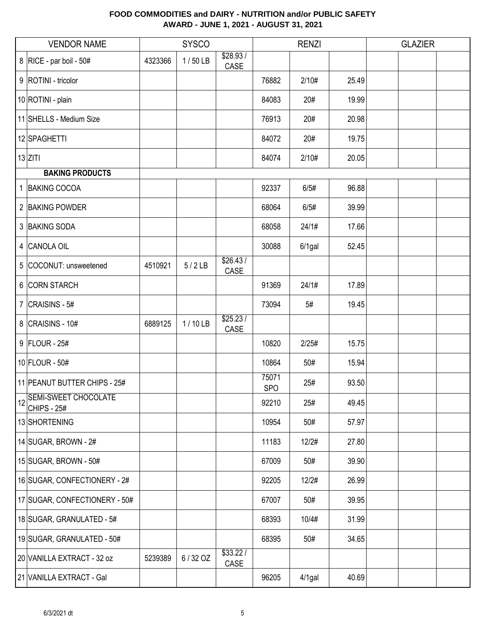|    | <b>VENDOR NAME</b>                                |         | <b>SYSCO</b> |                  |                     | <b>RENZI</b> |       | <b>GLAZIER</b> |  |
|----|---------------------------------------------------|---------|--------------|------------------|---------------------|--------------|-------|----------------|--|
|    | 8   RICE - par boil - 50#                         | 4323366 | $1/50$ LB    | \$28.93/<br>CASE |                     |              |       |                |  |
|    | 9   ROTINI - tricolor                             |         |              |                  | 76882               | 2/10#        | 25.49 |                |  |
|    | 10 ROTINI - plain                                 |         |              |                  | 84083               | 20#          | 19.99 |                |  |
|    | 11 SHELLS - Medium Size                           |         |              |                  | 76913               | 20#          | 20.98 |                |  |
|    | 12 SPAGHETTI                                      |         |              |                  | 84072               | 20#          | 19.75 |                |  |
|    | $13$ ZITI                                         |         |              |                  | 84074               | 2/10#        | 20.05 |                |  |
|    | <b>BAKING PRODUCTS</b>                            |         |              |                  |                     |              |       |                |  |
|    | 1 BAKING COCOA                                    |         |              |                  | 92337               | 6/5#         | 96.88 |                |  |
|    | 2 BAKING POWDER                                   |         |              |                  | 68064               | 6/5#         | 39.99 |                |  |
|    | 3 BAKING SODA                                     |         |              |                  | 68058               | 24/1#        | 17.66 |                |  |
|    | 4 CANOLA OIL                                      |         |              |                  | 30088               | $6/1$ gal    | 52.45 |                |  |
|    | 5 COCONUT: unsweetened                            | 4510921 | 5/2LB        | \$26.43/<br>CASE |                     |              |       |                |  |
|    | 6 CORN STARCH                                     |         |              |                  | 91369               | 24/1#        | 17.89 |                |  |
|    | 7 $ CRAISINS - 5#$                                |         |              |                  | 73094               | 5#           | 19.45 |                |  |
|    | 8 CRAISINS - 10#                                  | 6889125 | 1/10LB       | \$25.23/<br>CASE |                     |              |       |                |  |
|    | $9$ FLOUR - 25#                                   |         |              |                  | 10820               | 2/25#        | 15.75 |                |  |
|    | 10 FLOUR - 50#                                    |         |              |                  | 10864               | 50#          | 15.94 |                |  |
|    | 11 PEANUT BUTTER CHIPS - 25#                      |         |              |                  | 75071<br><b>SPO</b> | 25#          | 93.50 |                |  |
| 12 | <b>SEMI-SWEET CHOCOLATE</b><br><b>CHIPS - 25#</b> |         |              |                  | 92210               | 25#          | 49.45 |                |  |
|    | 13 SHORTENING                                     |         |              |                  | 10954               | 50#          | 57.97 |                |  |
|    | 14 SUGAR, BROWN - $2#$                            |         |              |                  | 11183               | 12/2#        | 27.80 |                |  |
|    | 15 SUGAR, BROWN - 50#                             |         |              |                  | 67009               | 50#          | 39.90 |                |  |
|    | 16 SUGAR, CONFECTIONERY - 2#                      |         |              |                  | 92205               | 12/2#        | 26.99 |                |  |
|    | 17 SUGAR, CONFECTIONERY - 50#                     |         |              |                  | 67007               | 50#          | 39.95 |                |  |
|    | 18 SUGAR, GRANULATED - 5#                         |         |              |                  | 68393               | 10/4#        | 31.99 |                |  |
|    | 19 SUGAR, GRANULATED - 50#                        |         |              |                  | 68395               | 50#          | 34.65 |                |  |
|    | 20 VANILLA EXTRACT - 32 oz                        | 5239389 | 6/32 OZ      | \$33.22/<br>CASE |                     |              |       |                |  |
|    | 21 VANILLA EXTRACT - Gal                          |         |              |                  | 96205               | 4/1gal       | 40.69 |                |  |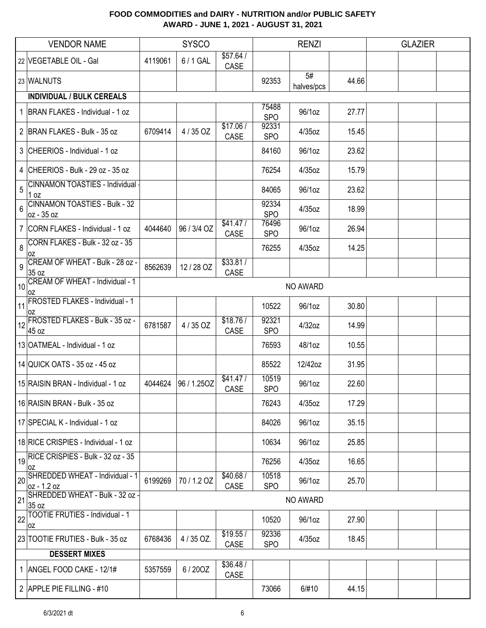|    | <b>VENDOR NAME</b>                                      |         | <b>SYSCO</b> |                   |                     | <b>RENZI</b>     |       | <b>GLAZIER</b> |  |
|----|---------------------------------------------------------|---------|--------------|-------------------|---------------------|------------------|-------|----------------|--|
|    | 22 VEGETABLE OIL - Gal                                  | 4119061 | 6/1 GAL      | \$57.64/<br>CASE  |                     |                  |       |                |  |
|    | 23 WALNUTS                                              |         |              |                   | 92353               | 5#<br>halves/pcs | 44.66 |                |  |
|    | <b>INDIVIDUAL / BULK CEREALS</b>                        |         |              |                   |                     |                  |       |                |  |
|    | 1   BRAN FLAKES - Individual - 1 oz                     |         |              |                   | 75488<br><b>SPO</b> | 96/1oz           | 27.77 |                |  |
|    | 2 BRAN FLAKES - Bulk - 35 oz                            | 6709414 | 4/35 OZ      | \$17.06/<br>CASE  | 92331<br><b>SPO</b> | 4/35oz           | 15.45 |                |  |
|    | 3 CHEERIOS - Individual - 1 oz                          |         |              |                   | 84160               | 96/1oz           | 23.62 |                |  |
|    | 4 CHEERIOS - Bulk - 29 oz - 35 oz                       |         |              |                   | 76254               | 4/35oz           | 15.79 |                |  |
| 5  | <b>CINNAMON TOASTIES - Individual</b><br>$1$ oz         |         |              |                   | 84065               | 96/1oz           | 23.62 |                |  |
| 6  | <b>CINNAMON TOASTIES - Bulk - 32</b><br>oz - 35 oz      |         |              |                   | 92334<br><b>SPO</b> | 4/35oz           | 18.99 |                |  |
|    | 7 CORN FLAKES - Individual - 1 oz                       | 4044640 | 96 / 3/4 OZ  | \$41.47/<br>CASE  | 76496<br><b>SPO</b> | 96/1oz           | 26.94 |                |  |
| 8  | CORN FLAKES - Bulk - 32 oz - 35<br>l OZ                 |         |              |                   | 76255               | 4/35oz           | 14.25 |                |  |
| 9  | CREAM OF WHEAT - Bulk - 28 oz -<br>35 oz                | 8562639 | 12/28 OZ     | \$33.81/<br>CASE  |                     |                  |       |                |  |
| 10 | CREAM OF WHEAT - Individual - 1<br>0Z                   |         |              |                   |                     | NO AWARD         |       |                |  |
| 11 | <b>FROSTED FLAKES - Individual - 1</b><br>l OZ          |         |              |                   | 10522               | 96/1oz           | 30.80 |                |  |
| 12 | FROSTED FLAKES - Bulk - 35 oz -<br>45 oz                | 6781587 | 4/35 OZ      | \$18.76/<br>CASE  | 92321<br><b>SPO</b> | 4/32oz           | 14.99 |                |  |
|    | 13 OATMEAL - Individual - 1 oz                          |         |              |                   | 76593               | 48/1oz           | 10.55 |                |  |
|    | 14 QUICK OATS - 35 oz - 45 oz                           |         |              |                   | 85522               | 12/42oz          | 31.95 |                |  |
|    | 15 RAISIN BRAN - Individual - 1 oz                      | 4044624 | 96 / 1.25OZ  | \$41.47/<br>CASE  | 10519<br><b>SPO</b> | 96/1oz           | 22.60 |                |  |
|    | 16 RAISIN BRAN - Bulk - 35 oz                           |         |              |                   | 76243               | 4/35oz           | 17.29 |                |  |
|    | 17 SPECIAL K - Individual - 1 oz                        |         |              |                   | 84026               | 96/1oz           | 35.15 |                |  |
|    | 18 RICE CRISPIES - Individual - 1 oz                    |         |              |                   | 10634               | 96/1oz           | 25.85 |                |  |
|    | $\frac{1}{19}$ RICE CRISPIES - Bulk - 32 oz - 35<br> OZ |         |              |                   | 76256               | 4/35oz           | 16.65 |                |  |
| 20 | SHREDDED WHEAT - Individual - 1<br>oz - 1.2 oz          | 6199269 | 70 / 1.2 OZ  | \$40.68 /<br>CASE | 10518<br><b>SPO</b> | 96/1oz           | 25.70 |                |  |
| 21 | SHREDDED WHEAT - Bulk - 32 oz -<br>35 oz                |         |              |                   |                     | NO AWARD         |       |                |  |
| 22 | TOOTIE FRUTIES - Individual - 1<br>0Z                   |         |              |                   | 10520               | 96/1oz           | 27.90 |                |  |
|    | 23 TOOTIE FRUTIES - Bulk - 35 oz                        | 6768436 | 4 / 35 OZ.   | \$19.55/<br>CASE  | 92336<br><b>SPO</b> | 4/35oz           | 18.45 |                |  |
|    | <b>DESSERT MIXES</b>                                    |         |              |                   |                     |                  |       |                |  |
|    | 1   ANGEL FOOD CAKE - 12/1#                             | 5357559 | 6/200Z       | \$36.48/<br>CASE  |                     |                  |       |                |  |
|    | 2 APPLE PIE FILLING - #10                               |         |              |                   | 73066               | 6/#10            | 44.15 |                |  |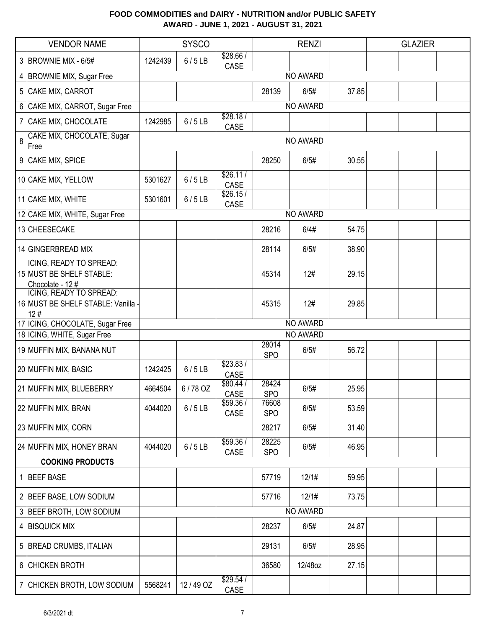|   | <b>VENDOR NAME</b>                                                     |         | <b>SYSCO</b> |                   |                     | <b>RENZI</b> |       | <b>GLAZIER</b> |  |
|---|------------------------------------------------------------------------|---------|--------------|-------------------|---------------------|--------------|-------|----------------|--|
|   | 3 BROWNIE MIX - 6/5#                                                   | 1242439 | 6/5LB        | \$28.66/<br>CASE  |                     |              |       |                |  |
|   | 4 BROWNIE MIX, Sugar Free                                              |         |              |                   |                     | NO AWARD     |       |                |  |
|   | 5 CAKE MIX, CARROT                                                     |         |              |                   | 28139               | 6/5#         | 37.85 |                |  |
|   | 6 CAKE MIX, CARROT, Sugar Free                                         |         |              |                   |                     | NO AWARD     |       |                |  |
|   | 7 CAKE MIX, CHOCOLATE                                                  | 1242985 | 6/5LB        | \$28.18/<br>CASE  |                     |              |       |                |  |
| 8 | CAKE MIX, CHOCOLATE, Sugar<br>Free                                     |         |              |                   |                     | NO AWARD     |       |                |  |
|   | 9 CAKE MIX, SPICE                                                      |         |              |                   | 28250               | 6/5#         | 30.55 |                |  |
|   | 10 CAKE MIX, YELLOW                                                    | 5301627 | 6/5LB        | \$26.11/<br>CASE  |                     |              |       |                |  |
|   | 11 CAKE MIX, WHITE                                                     | 5301601 | 6/5LB        | \$26.15/<br>CASE  |                     |              |       |                |  |
|   | 12 CAKE MIX, WHITE, Sugar Free                                         |         |              |                   |                     | NO AWARD     |       |                |  |
|   | 13 CHEESECAKE                                                          |         |              |                   | 28216               | 6/4#         | 54.75 |                |  |
|   | 14 GINGERBREAD MIX                                                     |         |              |                   | 28114               | 6/5#         | 38.90 |                |  |
|   | ICING, READY TO SPREAD:<br>15 MUST BE SHELF STABLE:<br>Chocolate - 12# |         |              |                   | 45314               | 12#          | 29.15 |                |  |
|   | ICING, READY TO SPREAD:<br>16 MUST BE SHELF STABLE: Vanilla -<br>12#   |         |              |                   | 45315               | 12#          | 29.85 |                |  |
|   | 17 ICING, CHOCOLATE, Sugar Free                                        |         |              |                   |                     | NO AWARD     |       |                |  |
|   | 18 ICING, WHITE, Sugar Free                                            |         |              |                   |                     | NO AWARD     |       |                |  |
|   | 19 MUFFIN MIX, BANANA NUT                                              |         |              |                   | 28014<br><b>SPO</b> | 6/5#         | 56.72 |                |  |
|   | 20 MUFFIN MIX, BASIC                                                   | 1242425 | 6/5LB        | \$23.83/<br>CASE  |                     |              |       |                |  |
|   | 21 MUFFIN MIX, BLUEBERRY                                               | 4664504 | 6/78 OZ      | \$80.44 /<br>CASE | 28424<br><b>SPO</b> | 6/5#         | 25.95 |                |  |
|   | 22 MUFFIN MIX, BRAN                                                    | 4044020 | 6/5LB        | \$59.36/<br>CASE  | 76608<br><b>SPO</b> | 6/5#         | 53.59 |                |  |
|   | 23 MUFFIN MIX, CORN                                                    |         |              |                   | 28217               | 6/5#         | 31.40 |                |  |
|   | 24 MUFFIN MIX, HONEY BRAN                                              | 4044020 | 6/5LB        | \$59.36/<br>CASE  | 28225<br><b>SPO</b> | 6/5#         | 46.95 |                |  |
|   | <b>COOKING PRODUCTS</b>                                                |         |              |                   |                     |              |       |                |  |
|   | 1 BEEF BASE                                                            |         |              |                   | 57719               | 12/1#        | 59.95 |                |  |
|   | 2 BEEF BASE, LOW SODIUM                                                |         |              |                   | 57716               | 12/1#        | 73.75 |                |  |
|   | 3 BEEF BROTH, LOW SODIUM                                               |         |              |                   |                     | NO AWARD     |       |                |  |
|   | 4 BISQUICK MIX                                                         |         |              |                   | 28237               | 6/5#         | 24.87 |                |  |
|   | 5 BREAD CRUMBS, ITALIAN                                                |         |              |                   | 29131               | 6/5#         | 28.95 |                |  |
|   | 6 CHICKEN BROTH                                                        |         |              |                   | 36580               | 12/48oz      | 27.15 |                |  |
|   | 7 CHICKEN BROTH, LOW SODIUM                                            | 5568241 | 12/49 OZ     | \$29.54/<br>CASE  |                     |              |       |                |  |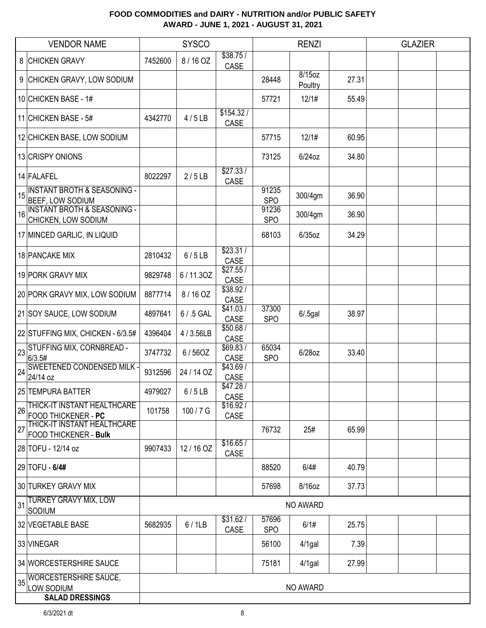|    | <b>VENDOR NAME</b>                                                | <b>SYSCO</b> |            |                   | <b>RENZI</b>        |                   |       | <b>GLAZIER</b> |  |
|----|-------------------------------------------------------------------|--------------|------------|-------------------|---------------------|-------------------|-------|----------------|--|
|    | 8 CHICKEN GRAVY                                                   | 7452600      | 8/16 OZ    | \$38.75/<br>CASE  |                     |                   |       |                |  |
|    | 9 CHICKEN GRAVY, LOW SODIUM                                       |              |            |                   | 28448               | 8/15oz<br>Poultry | 27.31 |                |  |
|    | 10 CHICKEN BASE - 1#                                              |              |            |                   | 57721               | 12/1#             | 55.49 |                |  |
|    | 11 CHICKEN BASE - 5#                                              | 4342770      | 4/5LB      | \$154.32/<br>CASE |                     |                   |       |                |  |
|    | 12 CHICKEN BASE, LOW SODIUM                                       |              |            |                   | 57715               | 12/1#             | 60.95 |                |  |
|    | 13 CRISPY ONIONS                                                  |              |            |                   | 73125               | $6/24$ oz         | 34.80 |                |  |
|    | 14 FALAFEL                                                        | 8022297      | 2/5LB      | \$27.33/<br>CASE  |                     |                   |       |                |  |
| 15 | <b>INSTANT BROTH &amp; SEASONING -</b><br><b>BEEF, LOW SODIUM</b> |              |            |                   | 91235<br><b>SPO</b> | 300/4gm           | 36.90 |                |  |
| 16 | <b>INSTANT BROTH &amp; SEASONING -</b><br>CHICKEN, LOW SODIUM     |              |            |                   | 91236<br><b>SPO</b> | 300/4gm           | 36.90 |                |  |
|    | 17 MINCED GARLIC, IN LIQUID                                       |              |            |                   | 68103               | $6/35$ oz         | 34.29 |                |  |
|    | 18 PANCAKE MIX                                                    | 2810432      | 6/5LB      | \$23.31/<br>CASE  |                     |                   |       |                |  |
|    | 19 PORK GRAVY MIX                                                 | 9829748      | 6/11.30Z   | \$27.55/<br>CASE  |                     |                   |       |                |  |
|    | 20 PORK GRAVY MIX, LOW SODIUM                                     | 8877714      | 8/16 OZ    | \$38.92 /<br>CASE |                     |                   |       |                |  |
|    | 21 SOY SAUCE, LOW SODIUM                                          | 4897641      | 6 / .5 GAL | \$41.03/<br>CASE  | 37300<br><b>SPO</b> | $6/0.5$ gal       | 38.97 |                |  |
|    | 22 STUFFING MIX, CHICKEN - 6/3.5#                                 | 4396404      | 4/3.56LB   | \$50.68/<br>CASE  |                     |                   |       |                |  |
| 23 | STUFFING MIX, CORNBREAD -<br>6/3.5#                               | 3747732      | 6/56OZ     | \$69.83/<br>CASE  | 65034<br><b>SPO</b> | 6/28oz            | 33.40 |                |  |
| 24 | <b>SWEETENED CONDENSED MILK -</b><br>24/14 oz                     | 9312596      | 24 / 14 OZ | \$43.69/<br>CASE  |                     |                   |       |                |  |
|    | 25 TEMPURA BATTER                                                 | 4979027      | 6/5LB      | \$47.28/<br>CASE  |                     |                   |       |                |  |
| 26 | THICK-IT INSTANT HEALTHCARE<br>FOOD THICKENER - PC                | 101758       | 100 / 7 G  | \$16.92/<br>CASE  |                     |                   |       |                |  |
| 27 | THICK-IT INSTANT HEALTHCARE<br>FOOD THICKENER - Bulk              |              |            |                   | 76732               | 25#               | 65.99 |                |  |
|    | 28 TOFU - 12/14 oz                                                | 9907433      | 12/16 OZ   | \$16.65/<br>CASE  |                     |                   |       |                |  |
|    | 29 TOFU - 6/4#                                                    |              |            |                   | 88520               | 6/4#              | 40.79 |                |  |
|    | 30 TURKEY GRAVY MIX                                               |              |            |                   | 57698               | 8/16oz            | 37.73 |                |  |
| 31 | <b>TURKEY GRAVY MIX, LOW</b><br>SODIUM                            | NO AWARD     |            |                   |                     |                   |       |                |  |
|    | 32 VEGETABLE BASE                                                 | 5682935      | 6/1LB      | \$31.62/<br>CASE  | 57696<br><b>SPO</b> | 6/1#              | 25.75 |                |  |
|    | 33 VINEGAR                                                        |              |            |                   | 56100               | $4/1$ gal         | 7.39  |                |  |
|    | 34 WORCESTERSHIRE SAUCE                                           |              |            |                   | 75181               | $4/1$ gal         | 27.99 |                |  |
| 35 | <b>WORCESTERSHIRE SAUCE,</b><br>LOW SODIUM                        |              |            |                   |                     | NO AWARD          |       |                |  |
|    | <b>SALAD DRESSINGS</b>                                            |              |            |                   |                     |                   |       |                |  |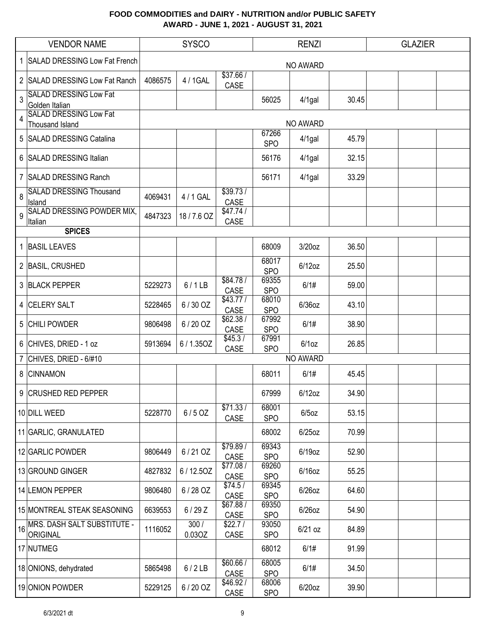|    | <b>VENDOR NAME</b>                                                               | <b>SYSCO</b> |                |                         |                     | <b>RENZI</b> |       | <b>GLAZIER</b> |  |
|----|----------------------------------------------------------------------------------|--------------|----------------|-------------------------|---------------------|--------------|-------|----------------|--|
|    | 1 SALAD DRESSING Low Fat French                                                  |              |                |                         |                     | NO AWARD     |       |                |  |
|    | 2 SALAD DRESSING Low Fat Ranch                                                   | 4086575      | 4 / 1GAL       | \$37.66/<br>CASE        |                     |              |       |                |  |
| 3  | <b>SALAD DRESSING Low Fat</b><br>Golden Italian<br><b>SALAD DRESSING Low Fat</b> |              |                |                         | 56025               | $4/1$ gal    | 30.45 |                |  |
| 4  | <b>Thousand Island</b>                                                           |              |                |                         |                     | NO AWARD     |       |                |  |
|    | 5 SALAD DRESSING Catalina                                                        |              |                |                         | 67266<br><b>SPO</b> | $4/1$ gal    | 45.79 |                |  |
|    | 6 SALAD DRESSING Italian                                                         |              |                |                         | 56176               | $4/1$ gal    | 32.15 |                |  |
|    | 7 SALAD DRESSING Ranch                                                           |              |                |                         | 56171               | $4/1$ gal    | 33.29 |                |  |
| 8  | <b>SALAD DRESSING Thousand</b><br>Island                                         | 4069431      | 4 / 1 GAL      | \$39.73/<br>CASE        |                     |              |       |                |  |
| 9  | <b>SALAD DRESSING POWDER MIX,</b><br>Italian                                     | 4847323      | 18/7.6 OZ      | \$47.74/<br>CASE        |                     |              |       |                |  |
|    | <b>SPICES</b>                                                                    |              |                |                         |                     |              |       |                |  |
|    | 1 BASIL LEAVES                                                                   |              |                |                         | 68009               | 3/20oz       | 36.50 |                |  |
|    | 2 BASIL, CRUSHED                                                                 |              |                |                         | 68017<br><b>SPO</b> | $6/12$ oz    | 25.50 |                |  |
|    | 3 BLACK PEPPER                                                                   | 5229273      | 6/1LB          | \$84.78/<br>CASE        | 69355<br><b>SPO</b> | 6/1#         | 59.00 |                |  |
|    | 4 CELERY SALT                                                                    | 5228465      | 6/30 OZ        | \$43.77/<br>CASE        | 68010<br><b>SPO</b> | 6/36oz       | 43.10 |                |  |
|    | 5 CHILI POWDER                                                                   | 9806498      | 6/20 OZ        | \$62.38/<br>CASE        | 67992<br><b>SPO</b> | 6/1#         | 38.90 |                |  |
|    | 6 CHIVES, DRIED - 1 oz                                                           | 5913694      | 6/1.35OZ       | \$45.3/<br>CASE         | 67991<br><b>SPO</b> | $6/1$ oz     | 26.85 |                |  |
|    | CHIVES, DRIED - 6/#10                                                            |              |                |                         |                     | NO AWARD     |       |                |  |
| 8  | <b>CINNAMON</b>                                                                  |              |                |                         | 68011               | 6/1#         | 45.45 |                |  |
|    | 9 CRUSHED RED PEPPER                                                             |              |                |                         | 67999               | $6/12$ oz    | 34.90 |                |  |
|    | 10 DILL WEED                                                                     | 5228770      | $6/5$ OZ       | \$71.33/<br>CASE        | 68001<br><b>SPO</b> | $6/5$ oz     | 53.15 |                |  |
|    | 11 GARLIC, GRANULATED                                                            |              |                |                         | 68002               | $6/25$ oz    | 70.99 |                |  |
|    | 12 GARLIC POWDER                                                                 | 9806449      | 6/21 OZ        | \$79.89 /<br>CASE       | 69343<br><b>SPO</b> | 6/19oz       | 52.90 |                |  |
|    | 13 GROUND GINGER                                                                 | 4827832      | 6/12.50Z       | \$77.08/<br>CASE        | 69260<br><b>SPO</b> | $6/16$ oz    | 55.25 |                |  |
|    | 14 LEMON PEPPER                                                                  | 9806480      | 6/28 OZ        | \$74.5/<br>CASE         | 69345<br><b>SPO</b> | $6/26$ oz    | 64.60 |                |  |
|    | 15 MONTREAL STEAK SEASONING                                                      | 6639553      | 6/29Z          | \$67.88 /<br>CASE       | 69350<br><b>SPO</b> | $6/26$ oz    | 54.90 |                |  |
| 16 | <b>MRS. DASH SALT SUBSTITUTE -</b><br>ORIGINAL                                   | 1116052      | 300/<br>0.03OZ | \$22.7/<br>CASE         | 93050<br><b>SPO</b> | $6/21$ oz    | 84.89 |                |  |
|    | 17 NUTMEG                                                                        |              |                |                         | 68012               | 6/1#         | 91.99 |                |  |
|    | 18 ONIONS, dehydrated                                                            | 5865498      | 6/2LB          | \$60.66/<br>CASE        | 68005<br><b>SPO</b> | 6/1#         | 34.50 |                |  |
|    | 19 ONION POWDER                                                                  | 5229125      | 6/20 OZ        | \$46.92/<br><b>CASE</b> | 68006<br><b>SPO</b> | $6/20$ oz    | 39.90 |                |  |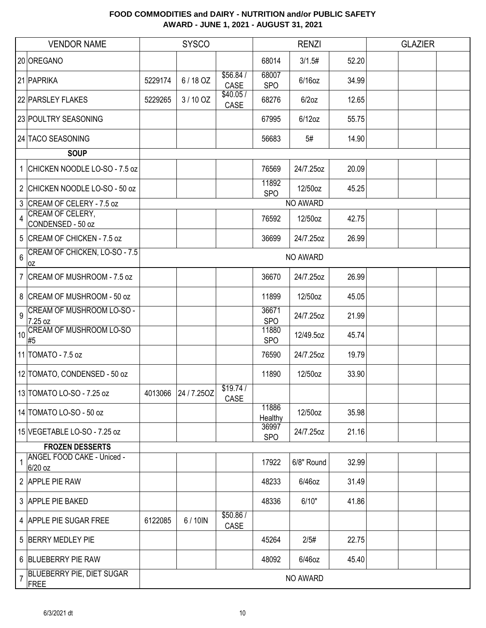|                  | <b>VENDOR NAME</b>                       |         | <b>SYSCO</b> |                  | <b>RENZI</b>        |            |       | <b>GLAZIER</b> |  |
|------------------|------------------------------------------|---------|--------------|------------------|---------------------|------------|-------|----------------|--|
|                  | 20 OREGANO                               |         |              |                  | 68014               | 3/1.5#     | 52.20 |                |  |
|                  | 21 PAPRIKA                               | 5229174 | 6/18 OZ      | \$56.84/<br>CASE | 68007<br><b>SPO</b> | $6/16$ oz  | 34.99 |                |  |
|                  | 22 PARSLEY FLAKES                        | 5229265 | 3/10 OZ      | \$40.05/<br>CASE | 68276               | $6/2$ oz   | 12.65 |                |  |
|                  | 23 POULTRY SEASONING                     |         |              |                  | 67995               | $6/12$ oz  | 55.75 |                |  |
|                  | 24 TACO SEASONING                        |         |              |                  | 56683               | 5#         | 14.90 |                |  |
|                  | <b>SOUP</b>                              |         |              |                  |                     |            |       |                |  |
|                  | 1 CHICKEN NOODLE LO-SO - 7.5 oz          |         |              |                  | 76569               | 24/7.25oz  | 20.09 |                |  |
|                  | 2 CHICKEN NOODLE LO-SO - 50 oz           |         |              |                  | 11892<br><b>SPO</b> | 12/50oz    | 45.25 |                |  |
|                  | 3 CREAM OF CELERY - 7.5 oz               |         |              |                  |                     | NO AWARD   |       |                |  |
| 4                | CREAM OF CELERY,<br>CONDENSED - 50 oz    |         |              |                  | 76592               | 12/50oz    | 42.75 |                |  |
|                  | 5 CREAM OF CHICKEN - 7.5 oz              |         |              |                  | 36699               | 24/7.25oz  | 26.99 |                |  |
| 6                | CREAM OF CHICKEN, LO-SO - 7.5<br>0Z      |         |              |                  |                     | NO AWARD   |       |                |  |
|                  | 7 CREAM OF MUSHROOM - 7.5 oz             |         |              |                  | 36670               | 24/7.25oz  | 26.99 |                |  |
|                  | 8 CREAM OF MUSHROOM - 50 oz              |         |              |                  | 11899               | 12/50oz    | 45.05 |                |  |
| 9                | CREAM OF MUSHROOM LO-SO -<br>7.25 oz     |         |              |                  | 36671<br><b>SPO</b> | 24/7.25oz  | 21.99 |                |  |
| 10 <sup>10</sup> | <b>CREAM OF MUSHROOM LO-SO</b><br>#5     |         |              |                  | 11880<br><b>SPO</b> | 12/49.5oz  | 45.74 |                |  |
|                  | 11 TOMATO - 7.5 oz                       |         |              |                  | 76590               | 24/7.25oz  | 19.79 |                |  |
|                  | 12 TOMATO, CONDENSED - 50 oz             |         |              |                  | 11890               | 12/50oz    | 33.90 |                |  |
|                  | 13 TOMATO LO-SO - 7.25 oz                | 4013066 | 24/7.25OZ    | \$19.74/<br>CASE |                     |            |       |                |  |
|                  | 14 TOMATO LO-SO - 50 oz                  |         |              |                  | 11886<br>Healthy    | 12/50oz    | 35.98 |                |  |
|                  | 15 VEGETABLE LO-SO - 7.25 oz             |         |              |                  | 36997<br><b>SPO</b> | 24/7.25oz  | 21.16 |                |  |
|                  | <b>FROZEN DESSERTS</b>                   |         |              |                  |                     |            |       |                |  |
|                  | ANGEL FOOD CAKE - Uniced -<br>6/20 oz    |         |              |                  | 17922               | 6/8" Round | 32.99 |                |  |
|                  | 2 APPLE PIE RAW                          |         |              |                  | 48233               | 6/46oz     | 31.49 |                |  |
|                  | 3 APPLE PIE BAKED                        |         |              |                  | 48336               | 6/10"      | 41.86 |                |  |
|                  | 4 APPLE PIE SUGAR FREE                   | 6122085 | 6/10IN       | \$50.86/<br>CASE |                     |            |       |                |  |
|                  | 5 BERRY MEDLEY PIE                       |         |              |                  | 45264               | 2/5#       | 22.75 |                |  |
|                  | 6 BLUEBERRY PIE RAW                      |         |              |                  | 48092               | $6/46$ oz  | 45.40 |                |  |
| $\overline{7}$   | <b>BLUEBERRY PIE, DIET SUGAR</b><br>FREE |         |              |                  |                     | NO AWARD   |       |                |  |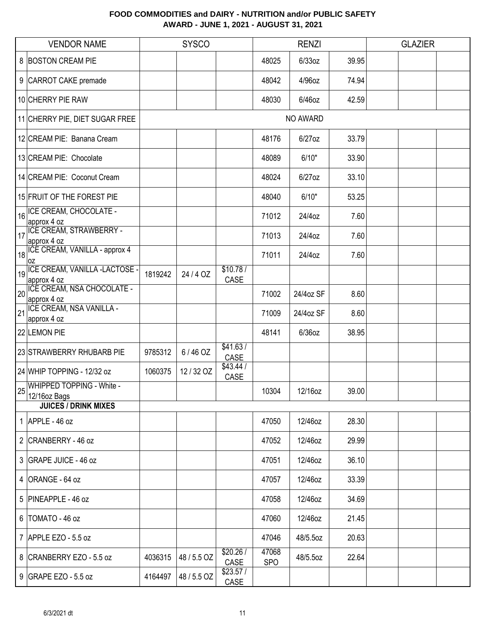|    | <b>VENDOR NAME</b>                                         |         | <b>SYSCO</b> |                  |                     | <b>RENZI</b> |       | <b>GLAZIER</b> |  |
|----|------------------------------------------------------------|---------|--------------|------------------|---------------------|--------------|-------|----------------|--|
|    | 8 BOSTON CREAM PIE                                         |         |              |                  | 48025               | $6/33$ oz    | 39.95 |                |  |
|    | 9 CARROT CAKE premade                                      |         |              |                  | 48042               | 4/96oz       | 74.94 |                |  |
|    | 10 CHERRY PIE RAW                                          |         |              |                  | 48030               | 6/46oz       | 42.59 |                |  |
|    | 11 CHERRY PIE, DIET SUGAR FREE                             |         |              |                  |                     | NO AWARD     |       |                |  |
|    | 12 CREAM PIE: Banana Cream                                 |         |              |                  | 48176               | 6/27oz       | 33.79 |                |  |
|    | 13 CREAM PIE: Chocolate                                    |         |              |                  | 48089               | 6/10"        | 33.90 |                |  |
|    | 14 CREAM PIE: Coconut Cream                                |         |              |                  | 48024               | 6/27oz       | 33.10 |                |  |
|    | 15 FRUIT OF THE FOREST PIE                                 |         |              |                  | 48040               | 6/10"        | 53.25 |                |  |
| 16 | ICE CREAM, CHOCOLATE -<br>approx 4 oz                      |         |              |                  | 71012               | 24/4oz       | 7.60  |                |  |
| 17 | <b>ICE CREAM, STRAWBERRY -</b><br>approx 4 oz              |         |              |                  | 71013               | 24/4oz       | 7.60  |                |  |
| 18 | ICE CREAM, VANILLA - approx 4<br>loz                       |         |              |                  | 71011               | 24/4oz       | 7.60  |                |  |
| 19 | ICE CREAM, VANILLA -LACTOSE -<br>approx 4 oz               | 1819242 | 24/4 OZ      | \$10.78/<br>CASE |                     |              |       |                |  |
| 20 | ICE CREAM, NSA CHOCOLATE -<br>approx 4 oz                  |         |              |                  | 71002               | 24/4oz SF    | 8.60  |                |  |
| 21 | ICE CREAM, NSA VANILLA -<br>approx 4 oz                    |         |              |                  | 71009               | 24/4oz SF    | 8.60  |                |  |
|    | 22 LEMON PIE                                               |         |              |                  | 48141               | 6/36oz       | 38.95 |                |  |
|    | 23 STRAWBERRY RHUBARB PIE                                  | 9785312 | 6/46 OZ      | \$41.63/<br>CASE |                     |              |       |                |  |
|    | 24 WHIP TOPPING - 12/32 oz                                 | 1060375 | 12 / 32 OZ   | \$43.44/<br>CASE |                     |              |       |                |  |
|    | 25 WHIPPED TOPPING - White -<br>$\vert^{23}$ 12/16 oz Bags |         |              |                  | 10304               | 12/16oz      | 39.00 |                |  |
|    | <b>JUICES / DRINK MIXES</b>                                |         |              |                  |                     |              |       |                |  |
|    | 1 APPLE - $46$ oz                                          |         |              |                  | 47050               | 12/46oz      | 28.30 |                |  |
|    | 2 CRANBERRY - 46 oz                                        |         |              |                  | 47052               | 12/46oz      | 29.99 |                |  |
|    | 3 GRAPE JUICE - 46 oz                                      |         |              |                  | 47051               | 12/46oz      | 36.10 |                |  |
|    | 4 ORANGE - 64 oz                                           |         |              |                  | 47057               | 12/46oz      | 33.39 |                |  |
|    | 5 PINEAPPLE - 46 oz                                        |         |              |                  | 47058               | 12/46oz      | 34.69 |                |  |
|    | 6   TOMATO - 46 oz                                         |         |              |                  | 47060               | 12/46oz      | 21.45 |                |  |
|    | 7 APPLE EZO - 5.5 oz                                       |         |              |                  | 47046               | 48/5.5oz     | 20.63 |                |  |
|    | 8 CRANBERRY EZO - 5.5 oz                                   | 4036315 | 48 / 5.5 OZ  | \$20.26/<br>CASE | 47068<br><b>SPO</b> | 48/5.5oz     | 22.64 |                |  |
|    | 9 GRAPE EZO - 5.5 oz                                       | 4164497 | 48 / 5.5 OZ  | \$23.57/<br>CASE |                     |              |       |                |  |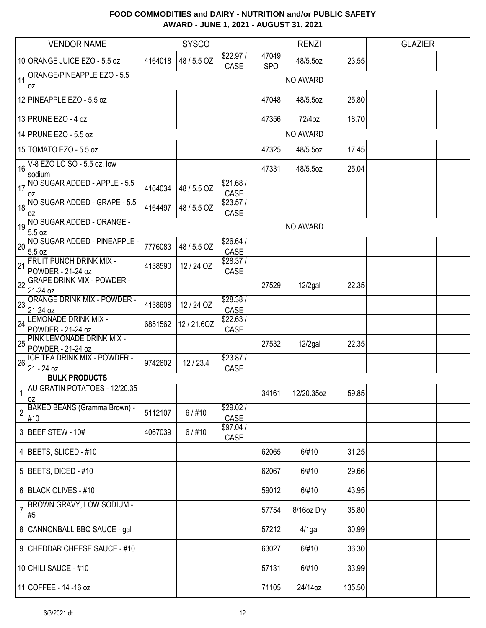|    | <b>VENDOR NAME</b>                                  | <b>SYSCO</b> |             | <b>RENZI</b>      |                     |            | <b>GLAZIER</b> |  |  |  |
|----|-----------------------------------------------------|--------------|-------------|-------------------|---------------------|------------|----------------|--|--|--|
|    | 10 ORANGE JUICE EZO - 5.5 oz                        | 4164018      | 48 / 5.5 OZ | \$22.97/<br>CASE  | 47049<br><b>SPO</b> | 48/5.5oz   | 23.55          |  |  |  |
| 11 | ORANGE/PINEAPPLE EZO - 5.5<br>0Z                    |              |             |                   |                     | NO AWARD   |                |  |  |  |
|    | 12 PINEAPPLE EZO - 5.5 oz                           |              |             |                   | 47048               | 48/5.5oz   | 25.80          |  |  |  |
|    | 13 PRUNE EZO - 4 oz                                 |              |             |                   | 47356               | 72/4oz     | 18.70          |  |  |  |
|    | 14 PRUNE EZO - 5.5 oz                               |              |             |                   |                     | NO AWARD   |                |  |  |  |
|    | 15 TOMATO EZO - 5.5 oz                              |              |             |                   | 47325               | 48/5.5oz   | 17.45          |  |  |  |
|    | $16$ V-8 EZO LO SO - 5.5 oz, low<br>sodium          |              |             |                   | 47331               | 48/5.5oz   | 25.04          |  |  |  |
| 17 | NO SUGAR ADDED - APPLE - 5.5<br><b>OZ</b>           | 4164034      | 48 / 5.5 OZ | \$21.68/<br>CASE  |                     |            |                |  |  |  |
| 18 | NO SUGAR ADDED - GRAPE - 5.5<br>loz                 | 4164497      | 48 / 5.5 OZ | \$23.57/<br>CASE  |                     |            |                |  |  |  |
| 19 | NO SUGAR ADDED - ORANGE -<br>5.5 oz                 |              |             |                   |                     | NO AWARD   |                |  |  |  |
| 20 | NO SUGAR ADDED - PINEAPPLE<br>5.5 oz                | 7776083      | 48 / 5.5 OZ | \$26.64/<br>CASE  |                     |            |                |  |  |  |
| 21 | <b>FRUIT PUNCH DRINK MIX -</b><br>POWDER - 21-24 oz | 4138590      | 12 / 24 OZ  | \$28.37/<br>CASE  |                     |            |                |  |  |  |
| 22 | <b>GRAPE DRINK MIX - POWDER -</b><br>21-24 oz       |              |             |                   | 27529               | $12/2$ gal | 22.35          |  |  |  |
| 23 | <b>ORANGE DRINK MIX - POWDER -</b><br>21-24 oz      | 4138608      | 12 / 24 OZ  | \$28.38 /<br>CASE |                     |            |                |  |  |  |
| 24 | LEMONADE DRINK MIX -<br>POWDER - 21-24 oz           | 6851562      | 12/21.6OZ   | \$22.63/<br>CASE  |                     |            |                |  |  |  |
| 25 | PINK LEMONADE DRINK MIX -<br>POWDER - 21-24 oz      |              |             |                   | 27532               | $12/2$ gal | 22.35          |  |  |  |
| 26 | ICE TEA DRINK MIX - POWDER -<br>21 - 24 oz          | 9742602      | 12/23.4     | \$23.87/<br>CASE  |                     |            |                |  |  |  |
|    | <b>BULK PRODUCTS</b>                                |              |             |                   |                     |            |                |  |  |  |
|    | AU GRATIN POTATOES - 12/20.35<br>loz                |              |             |                   | 34161               | 12/20.35oz | 59.85          |  |  |  |
| 2  | <b>BAKED BEANS (Gramma Brown) -</b><br>#10          | 5112107      | $6/$ #10    | \$29.02/<br>CASE  |                     |            |                |  |  |  |
|    | 3 BEEF STEW - 10#                                   | 4067039      | $6/$ #10    | \$97.04/<br>CASE  |                     |            |                |  |  |  |
|    | 4 BEETS, SLICED - #10                               |              |             |                   | 62065               | 6/#10      | 31.25          |  |  |  |
|    | 5 BEETS, DICED - $#10$                              |              |             |                   | 62067               | 6/#10      | 29.66          |  |  |  |
|    | 6 BLACK OLIVES - #10                                |              |             |                   | 59012               | 6/#10      | 43.95          |  |  |  |
| 7  | <b>BROWN GRAVY, LOW SODIUM -</b><br>#5              |              |             |                   | 57754               | 8/16oz Dry | 35.80          |  |  |  |
|    | 8 CANNONBALL BBQ SAUCE - gal                        |              |             |                   | 57212               | $4/1$ gal  | 30.99          |  |  |  |
|    | 9 CHEDDAR CHEESE SAUCE - #10                        |              |             |                   | 63027               | 6/#10      | 36.30          |  |  |  |
|    | 10 CHILI SAUCE - #10                                |              |             |                   | 57131               | 6/#10      | 33.99          |  |  |  |
|    | 11 COFFEE - 14 - 16 oz                              |              |             |                   | 71105               | 24/14oz    | 135.50         |  |  |  |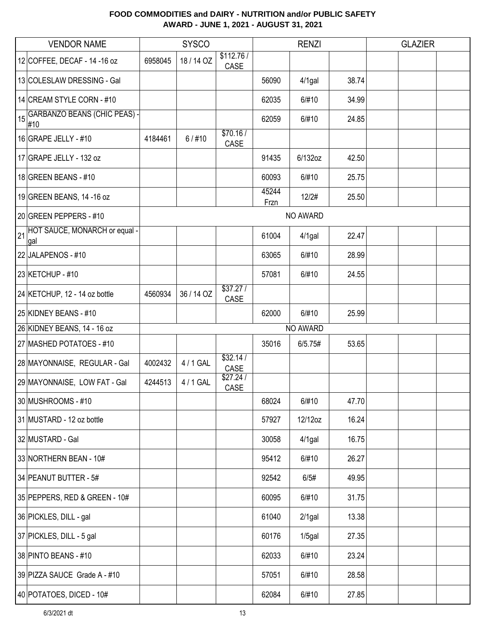|    | <b>VENDOR NAME</b>                         |         | <b>SYSCO</b> |                   |               | <b>RENZI</b> |       | <b>GLAZIER</b> |  |
|----|--------------------------------------------|---------|--------------|-------------------|---------------|--------------|-------|----------------|--|
|    | 12 COFFEE, DECAF - 14 - 16 oz              | 6958045 | 18 / 14 OZ   | \$112.76/<br>CASE |               |              |       |                |  |
|    | 13 COLESLAW DRESSING - Gal                 |         |              |                   | 56090         | $4/1$ gal    | 38.74 |                |  |
|    | 14 CREAM STYLE CORN - #10                  |         |              |                   | 62035         | 6/#10        | 34.99 |                |  |
| 15 | <b>GARBANZO BEANS (CHIC PEAS) -</b><br>#10 |         |              |                   | 62059         | 6/#10        | 24.85 |                |  |
|    | 16 GRAPE JELLY - $\#$ 10                   | 4184461 | $6/$ #10     | \$70.16/<br>CASE  |               |              |       |                |  |
|    | 17 GRAPE JELLY - 132 oz                    |         |              |                   | 91435         | 6/132oz      | 42.50 |                |  |
|    | 18 GREEN BEANS - #10                       |         |              |                   | 60093         | 6/#10        | 25.75 |                |  |
|    | 19 GREEN BEANS, 14 -16 oz                  |         |              |                   | 45244<br>Frzn | 12/2#        | 25.50 |                |  |
|    | 20 GREEN PEPPERS - #10                     |         |              |                   |               | NO AWARD     |       |                |  |
|    | 21 HOT SAUCE, MONARCH or equal -<br>gal    |         |              |                   | 61004         | $4/1$ gal    | 22.47 |                |  |
|    | 22 JALAPENOS - #10                         |         |              |                   | 63065         | 6/#10        | 28.99 |                |  |
|    | 23 KETCHUP - #10                           |         |              |                   | 57081         | 6/#10        | 24.55 |                |  |
|    | 24 KETCHUP, 12 - 14 oz bottle              | 4560934 | 36 / 14 OZ   | \$37.27/<br>CASE  |               |              |       |                |  |
|    | 25 KIDNEY BEANS - #10                      |         |              |                   | 62000         | 6/#10        | 25.99 |                |  |
|    | 26 KIDNEY BEANS, 14 - 16 oz                |         |              |                   |               | NO AWARD     |       |                |  |
|    | 27 MASHED POTATOES - #10                   |         |              |                   | 35016         | 6/5.75#      | 53.65 |                |  |
|    | 28 MAYONNAISE, REGULAR - Gal               | 4002432 | 4 / 1 GAL    | \$32.14/<br>CASE  |               |              |       |                |  |
|    | 29 MAYONNAISE, LOW FAT - Gal               | 4244513 | 4 / 1 GAL    | \$27.24/<br>CASE  |               |              |       |                |  |
|    | 30 MUSHROOMS - #10                         |         |              |                   | 68024         | 6/#10        | 47.70 |                |  |
|    | 31 MUSTARD - 12 oz bottle                  |         |              |                   | 57927         | 12/12oz      | 16.24 |                |  |
|    | 32 MUSTARD - Gal                           |         |              |                   | 30058         | $4/1$ gal    | 16.75 |                |  |
|    | 33 NORTHERN BEAN - 10#                     |         |              |                   | 95412         | 6/#10        | 26.27 |                |  |
|    | 34 PEANUT BUTTER - 5#                      |         |              |                   | 92542         | 6/5#         | 49.95 |                |  |
|    | 35 PEPPERS, RED & GREEN - 10#              |         |              |                   | 60095         | 6/#10        | 31.75 |                |  |
|    | 36 PICKLES, DILL - gal                     |         |              |                   | 61040         | $2/1$ gal    | 13.38 |                |  |
|    | 37 PICKLES, DILL - 5 gal                   |         |              |                   | 60176         | $1/5$ gal    | 27.35 |                |  |
|    | 38 PINTO BEANS - #10                       |         |              |                   | 62033         | 6/#10        | 23.24 |                |  |
|    | 39 PIZZA SAUCE Grade A - #10               |         |              |                   | 57051         | 6/#10        | 28.58 |                |  |
|    | 40 POTATOES, DICED - 10#                   |         |              |                   | 62084         | 6/#10        | 27.85 |                |  |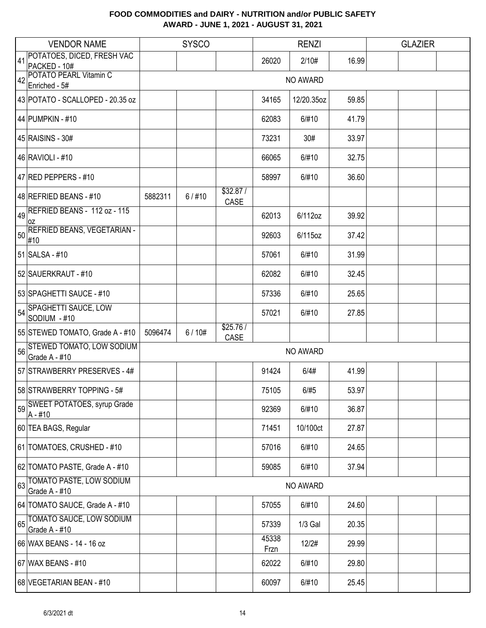|    | <b>VENDOR NAME</b>                               | <b>SYSCO</b> |          |                  | <b>RENZI</b>  |            |       | <b>GLAZIER</b> |  |  |
|----|--------------------------------------------------|--------------|----------|------------------|---------------|------------|-------|----------------|--|--|
| 41 | POTATOES, DICED, FRESH VAC                       |              |          |                  | 26020         | 2/10#      | 16.99 |                |  |  |
|    | PACKED - 10#<br>42 POTATO PEARL Vitamin C        |              |          |                  |               |            |       |                |  |  |
|    | Enriched - 5#                                    |              |          |                  |               | NO AWARD   |       |                |  |  |
|    | 43 POTATO - SCALLOPED - 20.35 oz                 |              |          |                  | 34165         | 12/20.35oz | 59.85 |                |  |  |
|    | 44 PUMPKIN - #10                                 |              |          |                  | 62083         | 6/#10      | 41.79 |                |  |  |
|    | 45 RAISINS - 30#                                 |              |          |                  | 73231         | 30#        | 33.97 |                |  |  |
|    | 46 RAVIOLI - #10                                 |              |          |                  | 66065         | 6/#10      | 32.75 |                |  |  |
|    | 47 RED PEPPERS - #10                             |              |          |                  | 58997         | 6/#10      | 36.60 |                |  |  |
|    | 48 REFRIED BEANS - #10                           | 5882311      | $6/$ #10 | \$32.87/<br>CASE |               |            |       |                |  |  |
| 49 | REFRIED BEANS - 112 oz - 115<br>0Z               |              |          |                  | 62013         | 6/112oz    | 39.92 |                |  |  |
| 50 | <b>REFRIED BEANS, VEGETARIAN -</b><br>#10        |              |          |                  | 92603         | 6/115oz    | 37.42 |                |  |  |
|    | 51 SALSA - #10                                   |              |          |                  | 57061         | 6/#10      | 31.99 |                |  |  |
|    | 52 SAUERKRAUT - #10                              |              |          |                  | 62082         | 6/#10      | 32.45 |                |  |  |
|    | 53 SPAGHETTI SAUCE - #10                         |              |          |                  | 57336         | 6/#10      | 25.65 |                |  |  |
| 54 | SPAGHETTI SAUCE, LOW<br>SODIUM - #10             |              |          |                  | 57021         | 6/#10      | 27.85 |                |  |  |
|    | 55 STEWED TOMATO, Grade A - #10                  | 5096474      | 6/10#    | \$25.76/<br>CASE |               |            |       |                |  |  |
|    | 56 STEWED TOMATO, LOW SODIUM<br>Grade A - #10    |              |          |                  |               | NO AWARD   |       |                |  |  |
|    | 57 STRAWBERRY PRESERVES - 4#                     |              |          |                  | 91424         | 6/4#       | 41.99 |                |  |  |
|    | 58 STRAWBERRY TOPPING - 5#                       |              |          |                  | 75105         | 6/#5       | 53.97 |                |  |  |
|    | SWEET POTATOES, syrup Grade<br>$A - #10$         |              |          |                  | 92369         | 6/#10      | 36.87 |                |  |  |
|    | 60 TEA BAGS, Regular                             |              |          |                  | 71451         | 10/100ct   | 27.87 |                |  |  |
|    | 61 TOMATOES, CRUSHED - #10                       |              |          |                  | 57016         | 6/#10      | 24.65 |                |  |  |
|    | 62 TOMATO PASTE, Grade A - #10                   |              |          |                  | 59085         | 6/#10      | 37.94 |                |  |  |
| 63 | <b>TOMATO PASTE, LOW SODIUM</b><br>Grade A - #10 |              |          |                  |               | NO AWARD   |       |                |  |  |
|    | 64 TOMATO SAUCE, Grade A - #10                   |              |          |                  | 57055         | 6/#10      | 24.60 |                |  |  |
| 65 | <b>TOMATO SAUCE, LOW SODIUM</b><br>Grade A - #10 |              |          |                  | 57339         | $1/3$ Gal  | 20.35 |                |  |  |
|    | 66 WAX BEANS - 14 - 16 oz                        |              |          |                  | 45338<br>Frzn | 12/2#      | 29.99 |                |  |  |
|    | 67 WAX BEANS - #10                               |              |          |                  | 62022         | 6/#10      | 29.80 |                |  |  |
|    | 68 VEGETARIAN BEAN - #10                         |              |          |                  | 60097         | 6/#10      | 25.45 |                |  |  |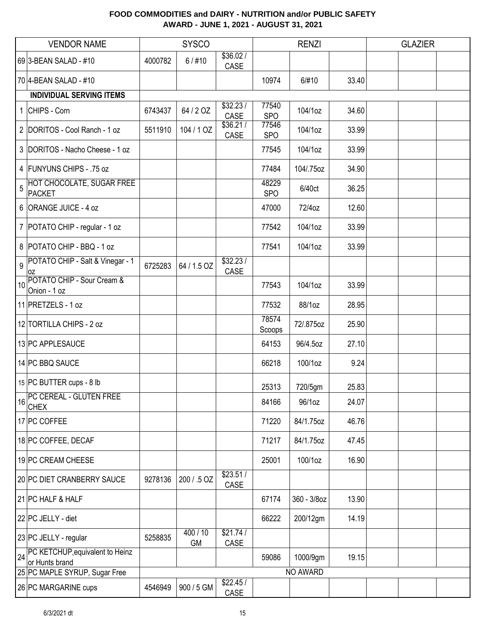|    | <b>VENDOR NAME</b>                                |         | <b>SYSCO</b>        |                  | <b>RENZI</b>        |             |       | <b>GLAZIER</b> |  |
|----|---------------------------------------------------|---------|---------------------|------------------|---------------------|-------------|-------|----------------|--|
|    | 69 3-BEAN SALAD - #10                             | 4000782 | $6/$ #10            | \$36.02/<br>CASE |                     |             |       |                |  |
|    | 70 4-BEAN SALAD - #10                             |         |                     |                  | 10974               | 6/#10       | 33.40 |                |  |
|    | <b>INDIVIDUAL SERVING ITEMS</b>                   |         |                     |                  |                     |             |       |                |  |
|    | 1 CHIPS - Corn                                    | 6743437 | 64 / 2 OZ           | \$32.23/<br>CASE | 77540<br><b>SPO</b> | 104/1oz     | 34.60 |                |  |
|    | 2 DORITOS - Cool Ranch - 1 oz                     | 5511910 | 104 / 1 OZ          | \$36.21/<br>CASE | 77546<br><b>SPO</b> | 104/1oz     | 33.99 |                |  |
|    | 3 DORITOS - Nacho Cheese - 1 oz                   |         |                     |                  | 77545               | 104/1oz     | 33.99 |                |  |
|    | 4 FUNYUNS CHIPS - .75 oz                          |         |                     |                  | 77484               | 104/.75oz   | 34.90 |                |  |
| 5  | HOT CHOCOLATE, SUGAR FREE<br><b>PACKET</b>        |         |                     |                  | 48229<br><b>SPO</b> | 6/40ct      | 36.25 |                |  |
|    | 6 ORANGE JUICE - 4 oz                             |         |                     |                  | 47000               | 72/4oz      | 12.60 |                |  |
|    | 7   POTATO CHIP - regular - 1 oz                  |         |                     |                  | 77542               | 104/1oz     | 33.99 |                |  |
|    | 8 POTATO CHIP - BBQ - 1 oz                        |         |                     |                  | 77541               | 104/1oz     | 33.99 |                |  |
|    | 9 POTATO CHIP - Salt & Vinegar - 1<br>ΟZ          | 6725283 | 64 / 1.5 OZ         | \$32.23/<br>CASE |                     |             |       |                |  |
| 10 | POTATO CHIP - Sour Cream &<br>Onion - 1 oz        |         |                     |                  | 77543               | 104/1oz     | 33.99 |                |  |
|    | 11 PRETZELS - 1 oz                                |         |                     |                  | 77532               | 88/1oz      | 28.95 |                |  |
|    | 12 TORTILLA CHIPS - 2 oz                          |         |                     |                  | 78574<br>Scoops     | 72/.875oz   | 25.90 |                |  |
|    | 13 PC APPLESAUCE                                  |         |                     |                  | 64153               | 96/4.5oz    | 27.10 |                |  |
|    | 14 PC BBQ SAUCE                                   |         |                     |                  | 66218               | 100/1oz     | 9.24  |                |  |
|    | 15 PC BUTTER cups - 8 lb                          |         |                     |                  | 25313               | 720/5gm     | 25.83 |                |  |
| 16 | PC CEREAL - GLUTEN FREE<br><b>CHEX</b>            |         |                     |                  | 84166               | 96/1oz      | 24.07 |                |  |
|    | 17 PC COFFEE                                      |         |                     |                  | 71220               | 84/1.75oz   | 46.76 |                |  |
|    | 18 PC COFFEE, DECAF                               |         |                     |                  | 71217               | 84/1.75oz   | 47.45 |                |  |
|    | 19 PC CREAM CHEESE                                |         |                     |                  | 25001               | 100/1oz     | 16.90 |                |  |
|    | 20 PC DIET CRANBERRY SAUCE                        | 9278136 | 200 / .5 OZ         | \$23.51/<br>CASE |                     |             |       |                |  |
|    | 21 PC HALF & HALF                                 |         |                     |                  | 67174               | 360 - 3/8oz | 13.90 |                |  |
|    | 22 PC JELLY - diet                                |         |                     |                  | 66222               | 200/12gm    | 14.19 |                |  |
|    | 23 PC JELLY - regular                             | 5258835 | 400/10<br><b>GM</b> | \$21.74/<br>CASE |                     |             |       |                |  |
| 24 | PC KETCHUP, equivalent to Heinz<br>or Hunts brand |         |                     |                  | 59086               | 1000/9gm    | 19.15 |                |  |
|    | 25 PC MAPLE SYRUP, Sugar Free                     |         |                     |                  |                     | NO AWARD    |       |                |  |
|    | 26 PC MARGARINE cups                              | 4546949 | 900 / 5 GM          | \$22.45/<br>CASE |                     |             |       |                |  |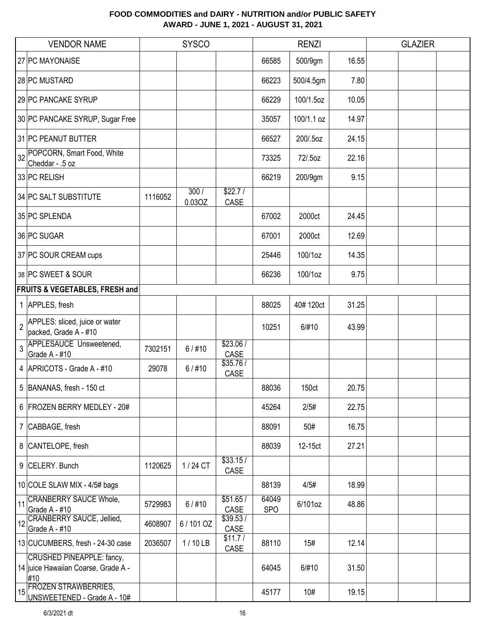|                | <b>VENDOR NAME</b>                                                             |         | <b>SYSCO</b>   |                  |                     | <b>RENZI</b> |       | <b>GLAZIER</b> |  |
|----------------|--------------------------------------------------------------------------------|---------|----------------|------------------|---------------------|--------------|-------|----------------|--|
|                | 27 PC MAYONAISE                                                                |         |                |                  | 66585               | 500/9gm      | 16.55 |                |  |
|                | 28 PC MUSTARD                                                                  |         |                |                  | 66223               | 500/4.5gm    | 7.80  |                |  |
|                | 29 PC PANCAKE SYRUP                                                            |         |                |                  | 66229               | 100/1.5oz    | 10.05 |                |  |
|                | 30 PC PANCAKE SYRUP, Sugar Free                                                |         |                |                  | 35057               | 100/1.1 oz   | 14.97 |                |  |
|                | 31 PC PEANUT BUTTER                                                            |         |                |                  | 66527               | 200/.5oz     | 24.15 |                |  |
| 32             | POPCORN, Smart Food, White<br>Cheddar - .5 oz                                  |         |                |                  | 73325               | 72/.5oz      | 22.16 |                |  |
|                | 33 PC RELISH                                                                   |         |                |                  | 66219               | 200/9gm      | 9.15  |                |  |
|                | 34 PC SALT SUBSTITUTE                                                          | 1116052 | 300/<br>0.03OZ | \$22.7/<br>CASE  |                     |              |       |                |  |
|                | 35 PC SPLENDA                                                                  |         |                |                  | 67002               | 2000ct       | 24.45 |                |  |
|                | 36 PC SUGAR                                                                    |         |                |                  | 67001               | 2000ct       | 12.69 |                |  |
|                | 37 PC SOUR CREAM cups                                                          |         |                |                  | 25446               | 100/1oz      | 14.35 |                |  |
|                | 38 PC SWEET & SOUR                                                             |         |                |                  | 66236               | 100/1oz      | 9.75  |                |  |
|                | FRUITS & VEGETABLES, FRESH and                                                 |         |                |                  |                     |              |       |                |  |
|                | 1 APPLES, fresh                                                                |         |                |                  | 88025               | 40#120ct     | 31.25 |                |  |
| $\overline{2}$ | APPLES: sliced, juice or water<br>packed, Grade A - #10                        |         |                |                  | 10251               | 6/#10        | 43.99 |                |  |
| 3              | APPLESAUCE Unsweetened,<br>Grade A - #10                                       | 7302151 | $6/$ #10       | \$23.06/<br>CASE |                     |              |       |                |  |
|                | 4 APRICOTS - Grade A - #10                                                     | 29078   | $6/$ #10       | \$35.76/<br>CASE |                     |              |       |                |  |
|                | 5 BANANAS, fresh - 150 ct                                                      |         |                |                  | 88036               | 150ct        | 20.75 |                |  |
|                | 6 FROZEN BERRY MEDLEY - 20#                                                    |         |                |                  | 45264               | 2/5#         | 22.75 |                |  |
|                | 7 CABBAGE, fresh                                                               |         |                |                  | 88091               | 50#          | 16.75 |                |  |
|                | 8 CANTELOPE, fresh                                                             |         |                |                  | 88039               | 12-15ct      | 27.21 |                |  |
|                | 9 CELERY. Bunch                                                                | 1120625 | 1/24 CT        | \$33.15/<br>CASE |                     |              |       |                |  |
|                | 10 COLE SLAW MIX - 4/5# bags                                                   |         |                |                  | 88139               | 4/5#         | 18.99 |                |  |
| 11             | <b>CRANBERRY SAUCE Whole,</b><br>Grade A - #10                                 | 5729983 | $6/$ #10       | \$51.65/<br>CASE | 64049<br><b>SPO</b> | 6/101oz      | 48.86 |                |  |
| 12             | CRANBERRY SAUCE, Jellied,<br>Grade A - #10                                     | 4608907 | 6/101 OZ       | \$39.53/<br>CASE |                     |              |       |                |  |
|                | 13 CUCUMBERS, fresh - 24-30 case                                               | 2036507 | $1/10$ LB      | \$11.7/<br>CASE  | 88110               | 15#          | 12.14 |                |  |
|                | <b>CRUSHED PINEAPPLE: fancy,</b><br>14 juice Hawaiian Coarse, Grade A -<br>#10 |         |                |                  | 64045               | 6/#10        | 31.50 |                |  |
|                | 15 FROZEN STRAWBERRIES,<br>UNSWEETENED - Grade A - 10#                         |         |                |                  | 45177               | 10#          | 19.15 |                |  |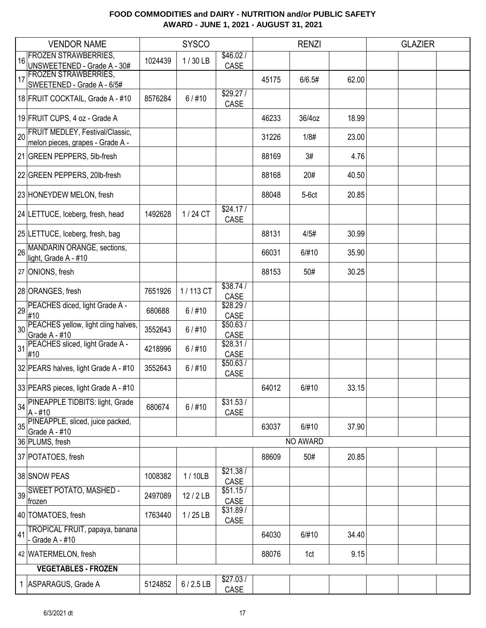|    | <b>VENDOR NAME</b>                                                  |         | <b>SYSCO</b> |                  |       | <b>RENZI</b> |       | <b>GLAZIER</b> |  |
|----|---------------------------------------------------------------------|---------|--------------|------------------|-------|--------------|-------|----------------|--|
| 16 | <b>FROZEN STRAWBERRIES,</b>                                         | 1024439 | 1/30LB       | \$46.02/         |       |              |       |                |  |
|    | UNSWEETENED - Grade A - 30#<br><b>FROZEN STRAWBERRIES,</b>          |         |              | CASE             |       |              |       |                |  |
| 17 | SWEETENED - Grade A - 6/5#                                          |         |              |                  | 45175 | 6/6.5#       | 62.00 |                |  |
|    | 18 FRUIT COCKTAIL, Grade A - #10                                    | 8576284 | $6/$ #10     | \$29.27/<br>CASE |       |              |       |                |  |
|    | 19 FRUIT CUPS, 4 oz - Grade A                                       |         |              |                  | 46233 | 36/4oz       | 18.99 |                |  |
| 20 | FRUIT MEDLEY, Festival/Classic,<br>melon pieces, grapes - Grade A - |         |              |                  | 31226 | 1/8#         | 23.00 |                |  |
|    | 21 GREEN PEPPERS, 5lb-fresh                                         |         |              |                  | 88169 | 3#           | 4.76  |                |  |
|    | 22 GREEN PEPPERS, 20lb-fresh                                        |         |              |                  | 88168 | 20#          | 40.50 |                |  |
|    | 23 HONEYDEW MELON, fresh                                            |         |              |                  | 88048 | $5-6ct$      | 20.85 |                |  |
|    | 24 LETTUCE, Iceberg, fresh, head                                    | 1492628 | 1/24 CT      | \$24.17/<br>CASE |       |              |       |                |  |
|    | 25 LETTUCE, Iceberg, fresh, bag                                     |         |              |                  | 88131 | 4/5#         | 30.99 |                |  |
| 26 | MANDARIN ORANGE, sections,<br>light, Grade A - #10                  |         |              |                  | 66031 | 6/#10        | 35.90 |                |  |
|    | 27 ONIONS, fresh                                                    |         |              |                  | 88153 | 50#          | 30.25 |                |  |
|    | 28 ORANGES, fresh                                                   | 7651926 | 1/113 CT     | \$38.74/<br>CASE |       |              |       |                |  |
| 29 | PEACHES diced, light Grade A -<br>#10                               | 680688  | $6/$ #10     | \$28.29/<br>CASE |       |              |       |                |  |
| 30 | PEACHES yellow, light cling halves,<br>Grade A - #10                | 3552643 | $6/$ #10     | \$50.63/<br>CASE |       |              |       |                |  |
| 31 | PEACHES sliced, light Grade A -<br>#10                              | 4218996 | $6/$ #10     | \$28.31/<br>CASE |       |              |       |                |  |
|    | 32 PEARS halves, light Grade A - #10                                | 3552643 | $6/$ #10     | \$50.63/<br>CASE |       |              |       |                |  |
|    | 33 PEARS pieces, light Grade A - #10                                |         |              |                  | 64012 | 6/#10        | 33.15 |                |  |
|    | 34 PINEAPPLE TIDBITS: light, Grade<br> A - #10                      | 680674  | $6/$ #10     | \$31.53/<br>CASE |       |              |       |                |  |
|    | 35 PINEAPPLE, sliced, juice packed,<br>Grade A - #10                |         |              |                  | 63037 | 6/#10        | 37.90 |                |  |
|    | 36 PLUMS, fresh                                                     |         |              |                  |       | NO AWARD     |       |                |  |
|    | 37 POTATOES, fresh                                                  |         |              |                  | 88609 | 50#          | 20.85 |                |  |
|    | 38 SNOW PEAS                                                        | 1008382 | 1/10LB       | \$21.38/<br>CASE |       |              |       |                |  |
| 39 | <b>SWEET POTATO, MASHED -</b><br>frozen                             | 2497089 | 12/2LB       | \$51.15/<br>CASE |       |              |       |                |  |
|    | 40 TOMATOES, fresh                                                  | 1763440 | $1/25$ LB    | \$31.89/<br>CASE |       |              |       |                |  |
| 41 | TROPICAL FRUIT, papaya, banana<br>Grade A - #10                     |         |              |                  | 64030 | 6/#10        | 34.40 |                |  |
|    | 42 WATERMELON, fresh                                                |         |              |                  | 88076 | 1ct          | 9.15  |                |  |
|    | <b>VEGETABLES - FROZEN</b>                                          |         |              |                  |       |              |       |                |  |
|    | 1 ASPARAGUS, Grade A                                                | 5124852 | $6/2.5$ LB   | \$27.03/<br>CASE |       |              |       |                |  |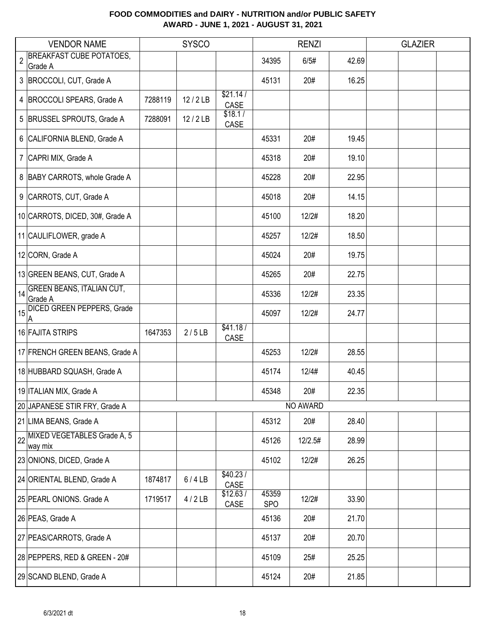|                | <b>VENDOR NAME</b>                          |         | <b>SYSCO</b> |                  |                     | <b>RENZI</b> |       | <b>GLAZIER</b> |  |
|----------------|---------------------------------------------|---------|--------------|------------------|---------------------|--------------|-------|----------------|--|
| $\overline{2}$ | <b>BREAKFAST CUBE POTATOES,</b><br>Grade A  |         |              |                  | 34395               | 6/5#         | 42.69 |                |  |
|                | 3 BROCCOLI, CUT, Grade A                    |         |              |                  | 45131               | 20#          | 16.25 |                |  |
|                | 4   BROCCOLI SPEARS, Grade A                | 7288119 | 12/2LB       | \$21.14/<br>CASE |                     |              |       |                |  |
|                | 5 BRUSSEL SPROUTS, Grade A                  | 7288091 | 12/2LB       | \$18.1/<br>CASE  |                     |              |       |                |  |
|                | 6 CALIFORNIA BLEND, Grade A                 |         |              |                  | 45331               | 20#          | 19.45 |                |  |
|                | 7 CAPRI MIX, Grade A                        |         |              |                  | 45318               | 20#          | 19.10 |                |  |
|                | 8 BABY CARROTS, whole Grade A               |         |              |                  | 45228               | 20#          | 22.95 |                |  |
|                | 9 CARROTS, CUT, Grade A                     |         |              |                  | 45018               | 20#          | 14.15 |                |  |
|                | 10 CARROTS, DICED, 30#, Grade A             |         |              |                  | 45100               | 12/2#        | 18.20 |                |  |
|                | 11 CAULIFLOWER, grade A                     |         |              |                  | 45257               | 12/2#        | 18.50 |                |  |
|                | 12 CORN, Grade A                            |         |              |                  | 45024               | 20#          | 19.75 |                |  |
|                | 13 GREEN BEANS, CUT, Grade A                |         |              |                  | 45265               | 20#          | 22.75 |                |  |
| 14             | <b>GREEN BEANS, ITALIAN CUT,</b><br>Grade A |         |              |                  | 45336               | 12/2#        | 23.35 |                |  |
| 15             | <b>DICED GREEN PEPPERS, Grade</b>           |         |              |                  | 45097               | 12/2#        | 24.77 |                |  |
|                | 16 FAJITA STRIPS                            | 1647353 | 2/5LB        | \$41.18/<br>CASE |                     |              |       |                |  |
|                | 17 FRENCH GREEN BEANS, Grade A              |         |              |                  | 45253               | 12/2#        | 28.55 |                |  |
|                | 18 HUBBARD SQUASH, Grade A                  |         |              |                  | 45174               | 12/4#        | 40.45 |                |  |
|                | 19 ITALIAN MIX, Grade A                     |         |              |                  | 45348               | 20#          | 22.35 |                |  |
|                | 20 JAPANESE STIR FRY, Grade A               |         |              |                  |                     | NO AWARD     |       |                |  |
|                | 21 LIMA BEANS, Grade A                      |         |              |                  | 45312               | 20#          | 28.40 |                |  |
|                | 22 MIXED VEGETABLES Grade A, 5<br>way mix   |         |              |                  | 45126               | 12/2.5#      | 28.99 |                |  |
|                | 23 ONIONS, DICED, Grade A                   |         |              |                  | 45102               | 12/2#        | 26.25 |                |  |
|                | 24 ORIENTAL BLEND, Grade A                  | 1874817 | 6/4LB        | \$40.23/<br>CASE |                     |              |       |                |  |
|                | 25 PEARL ONIONS. Grade A                    | 1719517 | 4/2LB        | \$12.63/<br>CASE | 45359<br><b>SPO</b> | 12/2#        | 33.90 |                |  |
|                | 26 PEAS, Grade A                            |         |              |                  | 45136               | 20#          | 21.70 |                |  |
|                | 27 PEAS/CARROTS, Grade A                    |         |              |                  | 45137               | 20#          | 20.70 |                |  |
|                | 28 PEPPERS, RED & GREEN - 20#               |         |              |                  | 45109               | 25#          | 25.25 |                |  |
|                | 29 SCAND BLEND, Grade A                     |         |              |                  | 45124               | 20#          | 21.85 |                |  |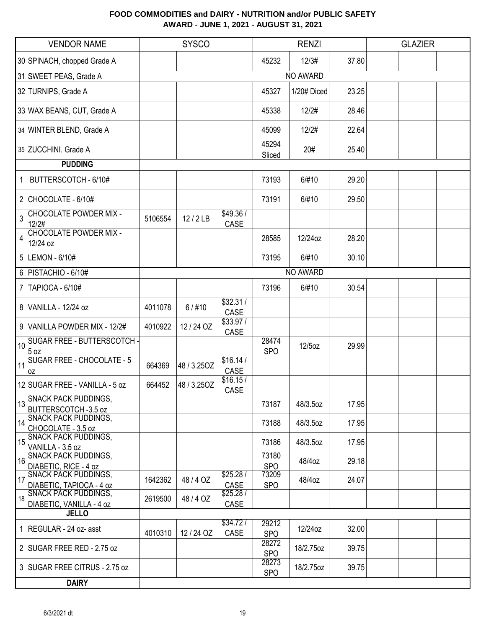|             | <b>VENDOR NAME</b>                                      |         | <b>SYSCO</b> |                  |                     | <b>RENZI</b> |       | <b>GLAZIER</b> |  |
|-------------|---------------------------------------------------------|---------|--------------|------------------|---------------------|--------------|-------|----------------|--|
|             | 30 SPINACH, chopped Grade A                             |         |              |                  | 45232               | 12/3#        | 37.80 |                |  |
|             | 31 SWEET PEAS, Grade A                                  |         |              |                  |                     | NO AWARD     |       |                |  |
|             | 32 TURNIPS, Grade A                                     |         |              |                  | 45327               | 1/20# Diced  | 23.25 |                |  |
|             | 33 WAX BEANS, CUT, Grade A                              |         |              |                  | 45338               | 12/2#        | 28.46 |                |  |
|             | 34 WINTER BLEND, Grade A                                |         |              |                  | 45099               | 12/2#        | 22.64 |                |  |
|             | 35 ZUCCHINI. Grade A                                    |         |              |                  | 45294<br>Sliced     | 20#          | 25.40 |                |  |
|             | <b>PUDDING</b>                                          |         |              |                  |                     |              |       |                |  |
| 1           | BUTTERSCOTCH - 6/10#                                    |         |              |                  | 73193               | 6/#10        | 29.20 |                |  |
|             | 2 CHOCOLATE - $6/10#$                                   |         |              |                  | 73191               | 6/#10        | 29.50 |                |  |
| 3           | <b>CHOCOLATE POWDER MIX -</b><br>12/2#                  | 5106554 | 12 / 2 LB    | \$49.36/<br>CASE |                     |              |       |                |  |
| 4           | <b>CHOCOLATE POWDER MIX -</b><br>12/24 oz               |         |              |                  | 28585               | 12/24oz      | 28.20 |                |  |
|             | 5  LEMON - 6/10#                                        |         |              |                  | 73195               | 6/#10        | 30.10 |                |  |
|             | 6   PISTACHIO - 6/10#                                   |         |              |                  |                     | NO AWARD     |       |                |  |
| $7^{\circ}$ | <b>TAPIOCA - 6/10#</b>                                  |         |              |                  | 73196               | 6/#10        | 30.54 |                |  |
|             | 8 VANILLA - 12/24 oz                                    | 4011078 | $6/$ #10     | \$32.31/<br>CASE |                     |              |       |                |  |
|             | 9 VANILLA POWDER MIX - 12/2#                            | 4010922 | 12 / 24 OZ   | \$33.97/<br>CASE |                     |              |       |                |  |
| 10          | <b>SUGAR FREE - BUTTERSCOTCH -</b><br>5 <sub>oz</sub>   |         |              |                  | 28474<br><b>SPO</b> | 12/5oz       | 29.99 |                |  |
| 11          | <b>SUGAR FREE - CHOCOLATE - 5</b><br>0Z                 | 664369  | 48 / 3.25OZ  | \$16.14/<br>CASE |                     |              |       |                |  |
|             | 12 SUGAR FREE - VANILLA - 5 oz                          | 664452  | 48 / 3.25OZ  | \$16.15/<br>CASE |                     |              |       |                |  |
| 13          | <b>SNACK PACK PUDDINGS,</b><br>BUTTERSCOTCH -3.5 oz     |         |              |                  | 73187               | 48/3.5oz     | 17.95 |                |  |
| 14          | <b>SNACK PACK PUDDINGS,</b><br>CHOCOLATE - 3.5 oz       |         |              |                  | 73188               | 48/3.5oz     | 17.95 |                |  |
| 15          | <b>SNACK PACK PUDDINGS,</b><br>VANILLA - 3.5 oz         |         |              |                  | 73186               | 48/3.5oz     | 17.95 |                |  |
| 16          | <b>SNACK PACK PUDDINGS,</b><br>DIABETIC, RICE - 4 oz    |         |              |                  | 73180<br><b>SPO</b> | 48/4oz       | 29.18 |                |  |
| 17          | <b>SNACK PACK PUDDINGS,</b><br>DIABETIC, TAPIOCA - 4 oz | 1642362 | 48/4 OZ      | \$25.28/<br>CASE | 73209<br><b>SPO</b> | 48/4oz       | 24.07 |                |  |
| 18          | <b>SNACK PACK PUDDINGS,</b><br>DIABETIC, VANILLA - 4 oz | 2619500 | 48/4 OZ      | \$25.28/<br>CASE |                     |              |       |                |  |
|             | <b>JELLO</b>                                            |         |              | \$34.72/         |                     |              |       |                |  |
|             | 1   REGULAR - 24 oz- asst                               | 4010310 | 12/24 OZ     | CASE             | 29212<br><b>SPO</b> | 12/24oz      | 32.00 |                |  |
|             | 2 SUGAR FREE RED - 2.75 oz                              |         |              |                  | 28272<br><b>SPO</b> | 18/2.75oz    | 39.75 |                |  |
|             | 3 SUGAR FREE CITRUS - 2.75 oz                           |         |              |                  | 28273<br><b>SPO</b> | 18/2.75oz    | 39.75 |                |  |
|             | <b>DAIRY</b>                                            |         |              |                  |                     |              |       |                |  |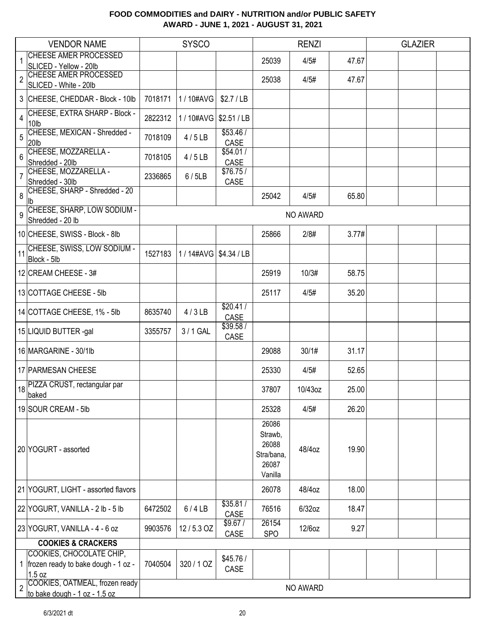|                | <b>VENDOR NAME</b>                                                        |         | <b>SYSCO</b>             |                  |                                                             | <b>RENZI</b> |       | <b>GLAZIER</b> |  |
|----------------|---------------------------------------------------------------------------|---------|--------------------------|------------------|-------------------------------------------------------------|--------------|-------|----------------|--|
|                | <b>CHEESE AMER PROCESSED</b><br>SLICED - Yellow - 20lb                    |         |                          |                  | 25039                                                       | 4/5#         | 47.67 |                |  |
| $\overline{c}$ | <b>CHEESE AMER PROCESSED</b><br>SLICED - White - 20lb                     |         |                          |                  | 25038                                                       | 4/5#         | 47.67 |                |  |
|                | 3 CHEESE, CHEDDAR - Block - 10lb                                          | 7018171 | 1 / 10#AVG               | \$2.7/LB         |                                                             |              |       |                |  |
| 4              | CHEESE, EXTRA SHARP - Block -<br>10lb                                     | 2822312 | 1/10#AVG                 | \$2.51 / LB      |                                                             |              |       |                |  |
| 5              | CHEESE, MEXICAN - Shredded -<br>20lb                                      | 7018109 | 4/5LB                    | \$53.46/<br>CASE |                                                             |              |       |                |  |
| 6              | CHEESE, MOZZARELLA -<br>Shredded - 20lb                                   | 7018105 | 4/5LB                    | \$54.01/<br>CASE |                                                             |              |       |                |  |
| $\overline{7}$ | CHEESE, MOZZARELLA -<br>Shredded - 30lb                                   | 2336865 | 6/5LB                    | \$76.75/<br>CASE |                                                             |              |       |                |  |
| 8              | CHEESE, SHARP - Shredded - 20<br>lb                                       |         |                          |                  | 25042                                                       | 4/5#         | 65.80 |                |  |
| 9              | CHEESE, SHARP, LOW SODIUM -<br>Shredded - 20 lb                           |         |                          |                  |                                                             | NO AWARD     |       |                |  |
|                | 10 CHEESE, SWISS - Block - 8lb                                            |         |                          |                  | 25866                                                       | 2/8#         | 3.77# |                |  |
|                | 11 CHEESE, SWISS, LOW SODIUM -<br>Block - 5lb                             | 1527183 | 1 / 14#AVG   \$4.34 / LB |                  |                                                             |              |       |                |  |
|                | 12 CREAM CHEESE - 3#                                                      |         |                          |                  | 25919                                                       | 10/3#        | 58.75 |                |  |
|                | 13 COTTAGE CHEESE - 5lb                                                   |         |                          |                  | 25117                                                       | 4/5#         | 35.20 |                |  |
|                | 14 COTTAGE CHEESE, 1% - 5lb                                               | 8635740 | 4/3LB                    | \$20.41/<br>CASE |                                                             |              |       |                |  |
|                | 15 LIQUID BUTTER -gal                                                     | 3355757 | 3/1 GAL                  | \$39.58/<br>CASE |                                                             |              |       |                |  |
|                | 16 MARGARINE - 30/1lb                                                     |         |                          |                  | 29088                                                       | 30/1#        | 31.17 |                |  |
|                | 17 PARMESAN CHEESE                                                        |         |                          |                  | 25330                                                       | 4/5#         | 52.65 |                |  |
|                | 18 PIZZA CRUST, rectangular par<br>baked                                  |         |                          |                  | 37807                                                       | 10/43oz      | 25.00 |                |  |
|                | 19 SOUR CREAM - 5lb                                                       |         |                          |                  | 25328                                                       | 4/5#         | 26.20 |                |  |
|                | 20 YOGURT - assorted                                                      |         |                          |                  | 26086<br>Strawb,<br>26088<br>Stra/bana,<br>26087<br>Vanilla | 48/4oz       | 19.90 |                |  |
|                | 21 YOGURT, LIGHT - assorted flavors                                       |         |                          |                  | 26078                                                       | 48/4oz       | 18.00 |                |  |
|                | 22 YOGURT, VANILLA - 2 lb - 5 lb                                          | 6472502 | 6/4LB                    | \$35.81/<br>CASE | 76516                                                       | $6/32$ oz    | 18.47 |                |  |
|                | 23 YOGURT, VANILLA - 4 - 6 oz                                             | 9903576 | 12/5.3 OZ                | \$9.67/<br>CASE  | 26154<br><b>SPO</b>                                         | 12/6oz       | 9.27  |                |  |
|                | <b>COOKIES &amp; CRACKERS</b>                                             |         |                          |                  |                                                             |              |       |                |  |
|                | COOKIES, CHOCOLATE CHIP,<br>1   frozen ready to bake dough - 1 oz -       | 7040504 | 320/1 OZ                 | \$45.76/<br>CASE |                                                             |              |       |                |  |
| $\overline{2}$ | 1.5 oz<br>COOKIES, OATMEAL, frozen ready<br>to bake dough - 1 oz - 1.5 oz |         |                          |                  |                                                             | NO AWARD     |       |                |  |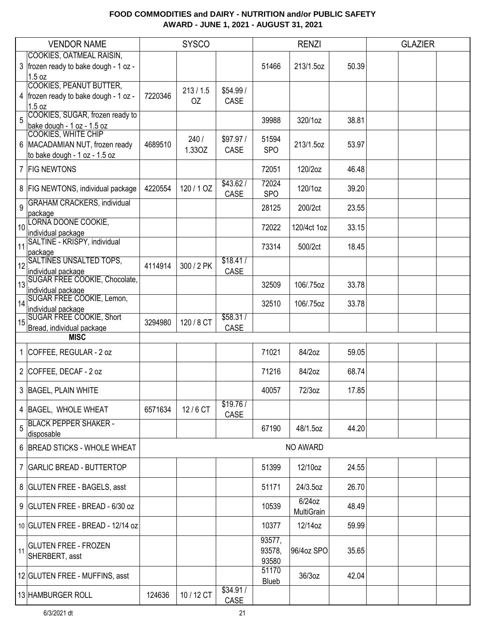|    | <b>VENDOR NAME</b>                                                                       |         | <b>SYSCO</b>   |                   | <b>RENZI</b>              |                         |       | <b>GLAZIER</b> |  |
|----|------------------------------------------------------------------------------------------|---------|----------------|-------------------|---------------------------|-------------------------|-------|----------------|--|
|    | COOKIES, OATMEAL RAISIN,                                                                 |         |                |                   |                           |                         |       |                |  |
|    | 3   frozen ready to bake dough - 1 oz -<br>1.5 oz                                        |         |                |                   | 51466                     | 213/1.5oz               | 50.39 |                |  |
|    | <b>COOKIES, PEANUT BUTTER,</b><br>4   frozen ready to bake dough - 1 oz -<br>1.5 oz      | 7220346 | 213/1.5<br>OZ  | \$54.99/<br>CASE  |                           |                         |       |                |  |
| 5  | COOKIES, SUGAR, frozen ready to<br>bake dough - 1 oz - 1.5 oz                            |         |                |                   | 39988                     | 320/1oz                 | 38.81 |                |  |
|    | COOKIES, WHITE CHIP<br>6   MACADAMIAN NUT, frozen ready<br>to bake dough - 1 oz - 1.5 oz | 4689510 | 240/<br>1.33OZ | \$97.97 /<br>CASE | 51594<br><b>SPO</b>       | 213/1.5oz               | 53.97 |                |  |
|    | 7 FIG NEWTONS                                                                            |         |                |                   | 72051                     | 120/2oz                 | 46.48 |                |  |
|    | 8   FIG NEWTONS, individual package                                                      | 4220554 | 120/1 OZ       | \$43.62/<br>CASE  | 72024<br><b>SPO</b>       | 120/1oz                 | 39.20 |                |  |
| 9  | <b>GRAHAM CRACKERS, individual</b><br>package                                            |         |                |                   | 28125                     | 200/2ct                 | 23.55 |                |  |
| 10 | LORNA DOONE COOKIE,<br>individual package                                                |         |                |                   | 72022                     | 120/4ct 1oz             | 33.15 |                |  |
| 11 | SALTINE - KRISPY, individual<br>package                                                  |         |                |                   | 73314                     | 500/2ct                 | 18.45 |                |  |
| 12 | <b>SALTINES UNSALTED TOPS,</b><br>individual package                                     | 4114914 | 300 / 2 PK     | \$18.41/<br>CASE  |                           |                         |       |                |  |
| 13 | SUGAR FREE COOKIE, Chocolate,<br>individual package                                      |         |                |                   | 32509                     | 106/.75oz               | 33.78 |                |  |
| 14 | SUGAR FREE COOKIE, Lemon,<br>individual package                                          |         |                |                   | 32510                     | 106/.75oz               | 33.78 |                |  |
| 15 | <b>SUGAR FREE COOKIE, Short</b><br>Bread, individual package                             | 3294980 | 120 / 8 CT     | \$58.31/<br>CASE  |                           |                         |       |                |  |
|    | <b>MISC</b>                                                                              |         |                |                   |                           |                         |       |                |  |
|    | 1 COFFEE, REGULAR - 2 oz                                                                 |         |                |                   | 71021                     | 84/2oz                  | 59.05 |                |  |
|    | 2 COFFEE, DECAF - 2 oz                                                                   |         |                |                   | 71216                     | 84/2oz                  | 68.74 |                |  |
|    | 3 BAGEL, PLAIN WHITE                                                                     |         |                |                   | 40057                     | 72/3oz                  | 17.85 |                |  |
|    | 4 BAGEL, WHOLE WHEAT                                                                     | 6571634 | 12/6 CT        | \$19.76/<br>CASE  |                           |                         |       |                |  |
| 5  | <b>BLACK PEPPER SHAKER -</b><br>disposable                                               |         |                |                   | 67190                     | 48/1.5oz                | 44.20 |                |  |
|    | 6 BREAD STICKS - WHOLE WHEAT                                                             |         |                |                   |                           | NO AWARD                |       |                |  |
|    | 7   GARLIC BREAD - BUTTERTOP                                                             |         |                |                   | 51399                     | 12/10oz                 | 24.55 |                |  |
|    | 8 GLUTEN FREE - BAGELS, asst                                                             |         |                |                   | 51171                     | 24/3.5oz                | 26.70 |                |  |
|    | 9 GLUTEN FREE - BREAD - 6/30 oz                                                          |         |                |                   | 10539                     | $6/24$ oz<br>MultiGrain | 48.49 |                |  |
|    | 10 GLUTEN FREE - BREAD - 12/14 oz                                                        |         |                |                   | 10377                     | 12/14oz                 | 59.99 |                |  |
| 11 | <b>GLUTEN FREE - FROZEN</b><br>SHERBERT, asst                                            |         |                |                   | 93577,<br>93578,<br>93580 | 96/4oz SPO              | 35.65 |                |  |
|    | 12 GLUTEN FREE - MUFFINS, asst                                                           |         |                |                   | 51170<br>Blueb            | 36/3oz                  | 42.04 |                |  |
|    | 13 HAMBURGER ROLL                                                                        | 124636  | 10 / 12 CT     | \$34.91/<br>CASE  |                           |                         |       |                |  |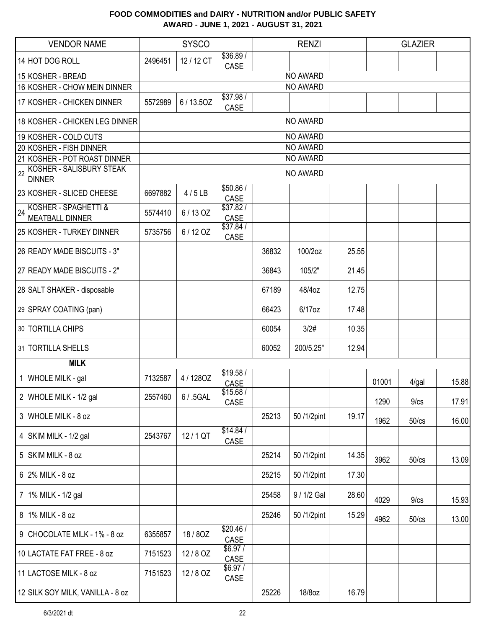|    | <b>VENDOR NAME</b>                             |         | <b>SYSCO</b> |                   |       | <b>RENZI</b> |       |       | <b>GLAZIER</b> |       |  |  |  |
|----|------------------------------------------------|---------|--------------|-------------------|-------|--------------|-------|-------|----------------|-------|--|--|--|
|    | 14 HOT DOG ROLL                                | 2496451 | 12 / 12 CT   | \$36.89/<br>CASE  |       |              |       |       |                |       |  |  |  |
|    | 15 KOSHER - BREAD                              |         |              |                   |       | NO AWARD     |       |       |                |       |  |  |  |
|    | 16 KOSHER - CHOW MEIN DINNER                   |         |              |                   |       | NO AWARD     |       |       |                |       |  |  |  |
|    | 17 KOSHER - CHICKEN DINNER                     | 5572989 | 6/13.50Z     | \$37.98 /<br>CASE |       |              |       |       |                |       |  |  |  |
|    | 18 KOSHER - CHICKEN LEG DINNER                 |         |              |                   |       | NO AWARD     |       |       |                |       |  |  |  |
|    | 19 KOSHER - COLD CUTS                          |         |              |                   |       | NO AWARD     |       |       |                |       |  |  |  |
|    | 20 KOSHER - FISH DINNER                        |         |              |                   |       | NO AWARD     |       |       |                |       |  |  |  |
|    | 21 KOSHER - POT ROAST DINNER                   |         | NO AWARD     |                   |       |              |       |       |                |       |  |  |  |
| 22 | KOSHER - SALISBURY STEAK<br><b>DINNER</b>      |         | NO AWARD     |                   |       |              |       |       |                |       |  |  |  |
|    | 23 KOSHER - SLICED CHEESE                      | 6697882 | 4/5LB        | \$50.86/<br>CASE  |       |              |       |       |                |       |  |  |  |
| 24 | KOSHER - SPAGHETTI &<br><b>MEATBALL DINNER</b> | 5574410 | 6/13 OZ      | \$37.82/<br>CASE  |       |              |       |       |                |       |  |  |  |
|    | 25 KOSHER - TURKEY DINNER                      | 5735756 | 6/12 OZ      | \$37.84/<br>CASE  |       |              |       |       |                |       |  |  |  |
|    | 26 READY MADE BISCUITS - 3"                    |         |              |                   | 36832 | 100/2oz      | 25.55 |       |                |       |  |  |  |
|    | 27 READY MADE BISCUITS - 2"                    |         |              |                   | 36843 | 105/2"       | 21.45 |       |                |       |  |  |  |
|    | 28 SALT SHAKER - disposable                    |         |              |                   | 67189 | 48/4oz       | 12.75 |       |                |       |  |  |  |
|    | 29 SPRAY COATING (pan)                         |         |              |                   | 66423 | 6/17oz       | 17.48 |       |                |       |  |  |  |
|    | 30 TORTILLA CHIPS                              |         |              |                   | 60054 | 3/2#         | 10.35 |       |                |       |  |  |  |
|    | 31 TORTILLA SHELLS                             |         |              |                   | 60052 | 200/5.25"    | 12.94 |       |                |       |  |  |  |
|    | <b>MILK</b>                                    |         |              |                   |       |              |       |       |                |       |  |  |  |
|    | 1 WHOLE MILK - gal                             | 7132587 | 4/1280Z      | \$19.58/<br>CASE  |       |              |       | 01001 | 4/gal          | 15.88 |  |  |  |
|    | 2 WHOLE MILK - 1/2 gal                         | 2557460 | 6 / .5GAL    | \$15.68/<br>CASE  |       |              |       | 1290  | 9/cs           | 17.91 |  |  |  |
|    | 3 WHOLE MILK - 8 oz                            |         |              |                   | 25213 | 50 /1/2pint  | 19.17 | 1962  | 50/cs          | 16.00 |  |  |  |
|    | 4 SKIM MILK - 1/2 gal                          | 2543767 | 12/1 QT      | \$14.84/<br>CASE  |       |              |       |       |                |       |  |  |  |
|    | 5 SKIM MILK - 8 oz                             |         |              |                   | 25214 | 50 /1/2pint  | 14.35 | 3962  | $50$ / $cs$    | 13.09 |  |  |  |
|    | $6$ 2% MILK - 8 oz                             |         |              |                   | 25215 | 50 /1/2pint  | 17.30 |       |                |       |  |  |  |
|    | 7   1% MILK - 1/2 gal                          |         |              |                   | 25458 | 9 / 1/2 Gal  | 28.60 | 4029  | 9/cs           | 15.93 |  |  |  |
|    | 8 1% MILK - 8 oz                               |         |              |                   | 25246 | 50/1/2pint   | 15.29 | 4962  | $50$ / $cs$    | 13.00 |  |  |  |
|    | 9 CHOCOLATE MILK - 1% - 8 oz                   | 6355857 | 18/80Z       | \$20.46/<br>CASE  |       |              |       |       |                |       |  |  |  |
|    | 10 LACTATE FAT FREE - 8 oz                     | 7151523 | 12/8 OZ      | \$6.97/<br>CASE   |       |              |       |       |                |       |  |  |  |
|    | 11 LACTOSE MILK - 8 oz                         | 7151523 | 12/8 OZ      | \$6.97/<br>CASE   |       |              |       |       |                |       |  |  |  |
|    | 12 SILK SOY MILK, VANILLA - 8 oz               |         |              |                   | 25226 | 18/8oz       | 16.79 |       |                |       |  |  |  |